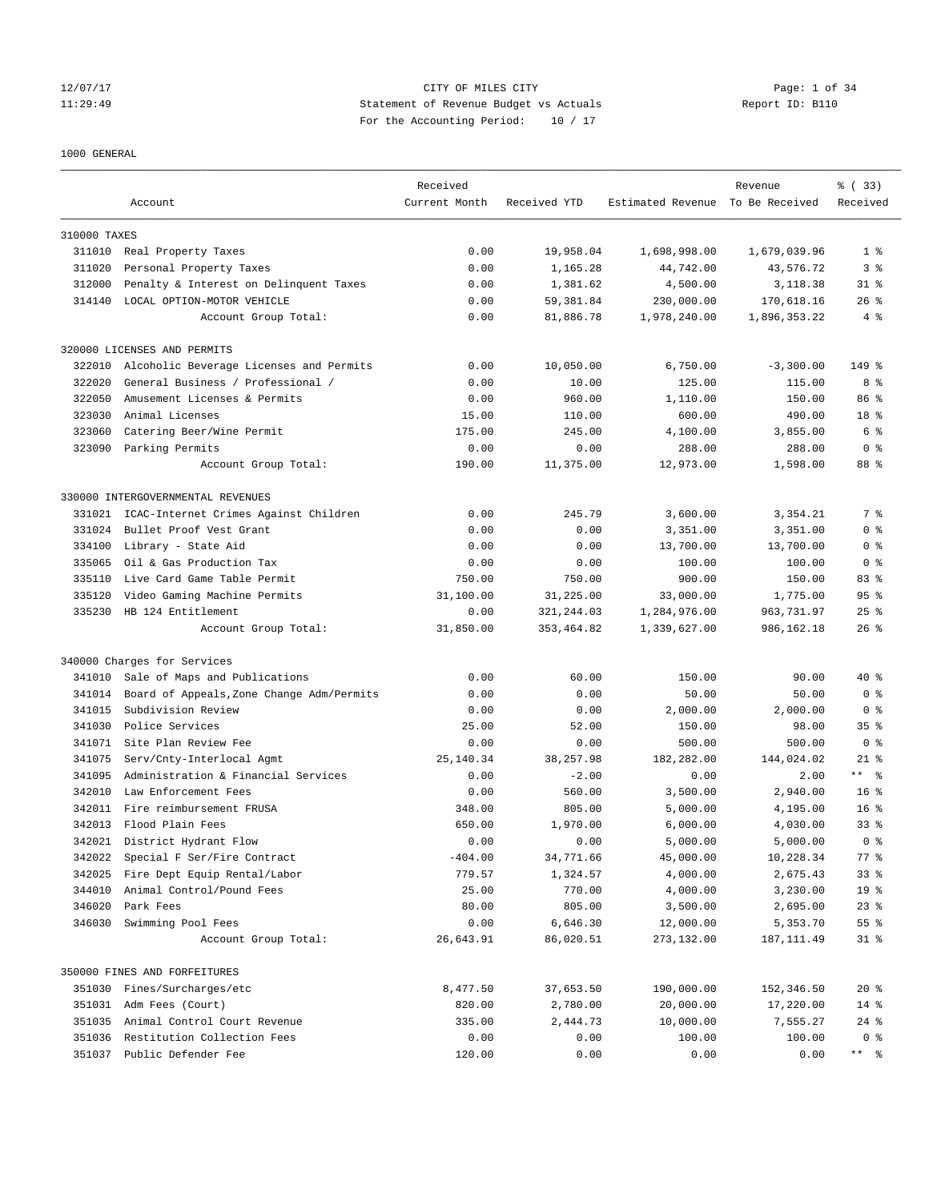### 12/07/17 CITY OF MILES CITY Page: 1 of 34 11:29:49 Statement of Revenue Budget vs Actuals Report ID: B110 For the Accounting Period: 10 / 17

### 1000 GENERAL

|              |                                           | Received      |              |                                  | Revenue      | % (33)          |
|--------------|-------------------------------------------|---------------|--------------|----------------------------------|--------------|-----------------|
|              | Account                                   | Current Month | Received YTD | Estimated Revenue To Be Received |              | Received        |
| 310000 TAXES |                                           |               |              |                                  |              |                 |
|              | 311010 Real Property Taxes                | 0.00          | 19,958.04    | 1,698,998.00                     | 1,679,039.96 | 1 <sup>8</sup>  |
| 311020       | Personal Property Taxes                   | 0.00          | 1,165.28     | 44,742.00                        | 43,576.72    | 3 <sup>8</sup>  |
| 312000       | Penalty & Interest on Delinquent Taxes    | 0.00          | 1,381.62     | 4,500.00                         | 3,118.38     | $31$ $%$        |
| 314140       | LOCAL OPTION-MOTOR VEHICLE                | 0.00          | 59,381.84    | 230,000.00                       | 170,618.16   | $26$ %          |
|              | Account Group Total:                      | 0.00          | 81,886.78    | 1,978,240.00                     | 1,896,353.22 | 4%              |
|              | 320000 LICENSES AND PERMITS               |               |              |                                  |              |                 |
| 322010       | Alcoholic Beverage Licenses and Permits   | 0.00          | 10,050.00    | 6,750.00                         | $-3,300.00$  | 149 %           |
| 322020       | General Business / Professional /         | 0.00          | 10.00        | 125.00                           | 115.00       | 8 %             |
| 322050       | Amusement Licenses & Permits              | 0.00          | 960.00       | 1,110.00                         | 150.00       | 86 <sup>8</sup> |
| 323030       | Animal Licenses                           | 15.00         | 110.00       | 600.00                           | 490.00       | 18 %            |
| 323060       | Catering Beer/Wine Permit                 | 175.00        | 245.00       | 4,100.00                         | 3,855.00     | 6 %             |
| 323090       | Parking Permits                           | 0.00          | 0.00         | 288.00                           | 288.00       | 0 <sup>8</sup>  |
|              | Account Group Total:                      | 190.00        | 11,375.00    | 12,973.00                        | 1,598.00     | 88 %            |
|              | 330000 INTERGOVERNMENTAL REVENUES         |               |              |                                  |              |                 |
| 331021       | ICAC-Internet Crimes Against Children     | 0.00          | 245.79       | 3,600.00                         | 3,354.21     | 7 %             |
| 331024       | Bullet Proof Vest Grant                   | 0.00          | 0.00         | 3,351.00                         | 3,351.00     | 0 <sup>8</sup>  |
| 334100       | Library - State Aid                       | 0.00          | 0.00         | 13,700.00                        | 13,700.00    | 0 <sup>8</sup>  |
| 335065       | Oil & Gas Production Tax                  | 0.00          | 0.00         | 100.00                           | 100.00       | 0 <sup>8</sup>  |
| 335110       | Live Card Game Table Permit               | 750.00        | 750.00       | 900.00                           | 150.00       | 83%             |
| 335120       | Video Gaming Machine Permits              | 31,100.00     | 31,225.00    | 33,000.00                        | 1,775.00     | 95 <sub>8</sub> |
| 335230       | HB 124 Entitlement                        | 0.00          | 321, 244.03  | 1,284,976.00                     | 963,731.97   | $25$ $%$        |
|              | Account Group Total:                      | 31,850.00     | 353, 464.82  | 1,339,627.00                     | 986,162.18   | $26$ %          |
|              | 340000 Charges for Services               |               |              |                                  |              |                 |
| 341010       | Sale of Maps and Publications             | 0.00          | 60.00        | 150.00                           | 90.00        | $40*$           |
| 341014       | Board of Appeals, Zone Change Adm/Permits | 0.00          | 0.00         | 50.00                            | 50.00        | 0 <sup>8</sup>  |
| 341015       | Subdivision Review                        | 0.00          | 0.00         | 2,000.00                         | 2,000.00     | 0 <sup>8</sup>  |
| 341030       | Police Services                           | 25.00         | 52.00        | 150.00                           | 98.00        | 35 <sub>8</sub> |
| 341071       | Site Plan Review Fee                      | 0.00          | 0.00         | 500.00                           | 500.00       | 0 <sup>8</sup>  |
| 341075       | Serv/Cnty-Interlocal Agmt                 | 25,140.34     | 38, 257.98   | 182,282.00                       | 144,024.02   | $21$ %          |
| 341095       | Administration & Financial Services       | 0.00          | $-2.00$      | 0.00                             | 2.00         | $***$ $ -$      |
| 342010       | Law Enforcement Fees                      | 0.00          | 560.00       | 3,500.00                         | 2,940.00     | 16 <sup>8</sup> |
|              | 342011 Fire reimbursement FRUSA           | 348.00        | 805.00       | 5,000.00                         | 4,195.00     | 16 <sup>8</sup> |
| 342013       | Flood Plain Fees                          | 650.00        | 1,970.00     | 6,000.00                         | 4,030.00     | 33 <sup>8</sup> |
|              | 342021 District Hydrant Flow              | 0.00          | 0.00         | 5,000.00                         | 5,000.00     | 0 <sup>8</sup>  |
| 342022       | Special F Ser/Fire Contract               | $-404.00$     | 34,771.66    | 45,000.00                        | 10,228.34    | $77$ $%$        |
| 342025       | Fire Dept Equip Rental/Labor              | 779.57        | 1,324.57     | 4,000.00                         | 2,675.43     | 33 <sup>8</sup> |
| 344010       | Animal Control/Pound Fees                 | 25.00         | 770.00       | 4,000.00                         | 3,230.00     | 19 <sup>°</sup> |
| 346020       | Park Fees                                 | 80.00         | 805.00       | 3,500.00                         | 2,695.00     | $23$ $%$        |
| 346030       | Swimming Pool Fees                        | 0.00          | 6,646.30     | 12,000.00                        | 5,353.70     | 55 %            |
|              | Account Group Total:                      | 26,643.91     | 86,020.51    | 273,132.00                       | 187, 111.49  | $31$ %          |
|              | 350000 FINES AND FORFEITURES              |               |              |                                  |              |                 |
| 351030       | Fines/Surcharges/etc                      | 8,477.50      | 37,653.50    | 190,000.00                       | 152,346.50   | $20*$           |
|              | 351031 Adm Fees (Court)                   | 820.00        | 2,780.00     | 20,000.00                        | 17,220.00    | $14*$           |
| 351035       | Animal Control Court Revenue              | 335.00        | 2,444.73     | 10,000.00                        | 7,555.27     | $24$ %          |
| 351036       | Restitution Collection Fees               | 0.00          | 0.00         | 100.00                           | 100.00       | 0 <sup>8</sup>  |
|              | 351037 Public Defender Fee                | 120.00        | 0.00         | 0.00                             | 0.00         |                 |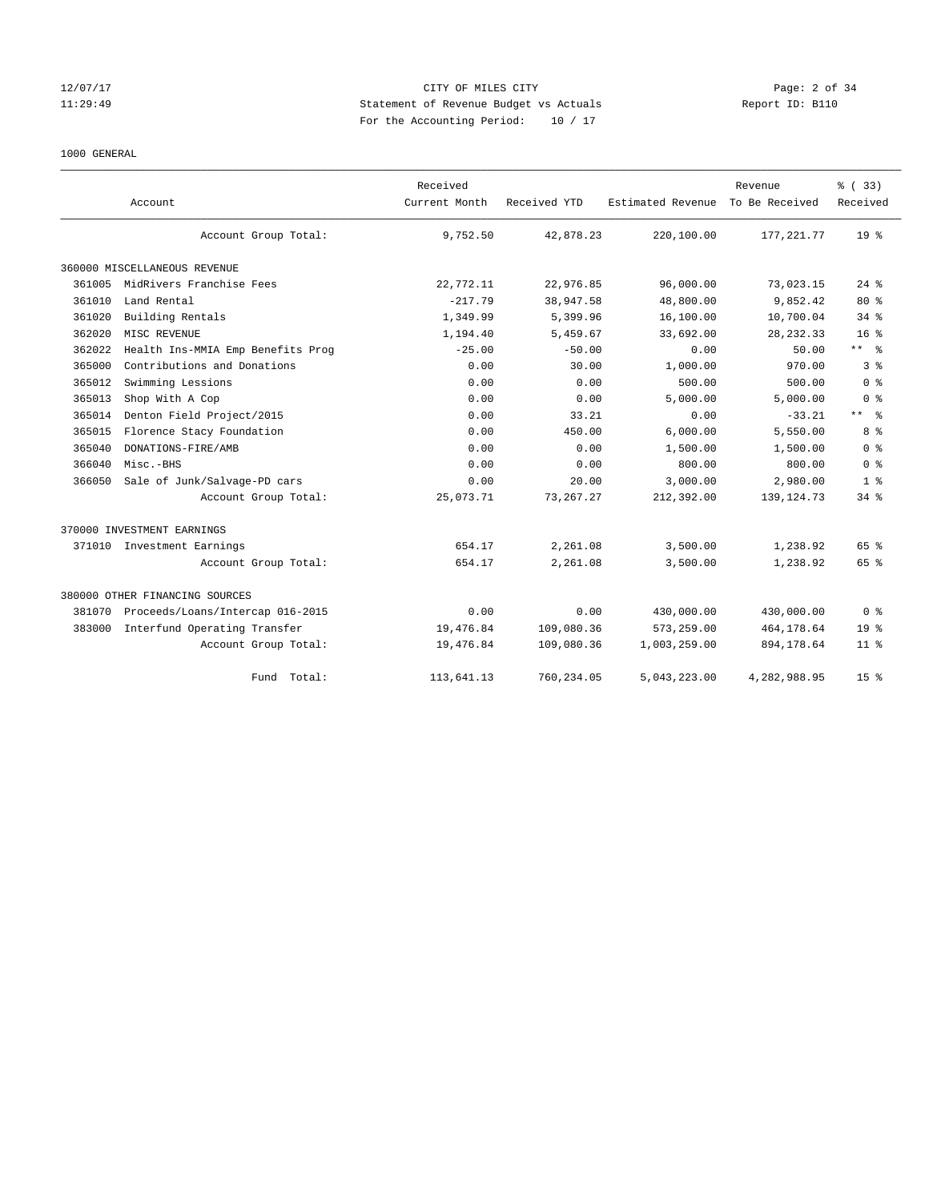### 12/07/17 CITY OF MILES CITY Page: 2 of 34 11:29:49 Statement of Revenue Budget vs Actuals Report ID: B110 For the Accounting Period: 10 / 17

### 1000 GENERAL

|        | Account                           | Received<br>Current Month | Received YTD | Estimated Revenue | Revenue<br>To Be Received | % (33)<br>Received |
|--------|-----------------------------------|---------------------------|--------------|-------------------|---------------------------|--------------------|
|        | Account Group Total:              | 9,752.50                  | 42,878.23    | 220,100.00        | 177, 221.77               | $19*$              |
|        | 360000 MISCELLANEOUS REVENUE      |                           |              |                   |                           |                    |
| 361005 | MidRivers Franchise Fees          | 22,772.11                 | 22,976.85    | 96,000.00         | 73,023.15                 | $24$ %             |
| 361010 | Land Rental                       | $-217.79$                 | 38,947.58    | 48,800.00         | 9,852.42                  | $80*$              |
| 361020 | Building Rentals                  | 1,349.99                  | 5,399.96     | 16,100.00         | 10,700.04                 | $34$ $%$           |
| 362020 | MISC REVENUE                      | 1,194.40                  | 5,459.67     | 33,692.00         | 28, 232.33                | $16*$              |
| 362022 | Health Ins-MMIA Emp Benefits Prog | $-25.00$                  | $-50.00$     | 0.00              | 50.00                     | ** %               |
| 365000 | Contributions and Donations       | 0.00                      | 30.00        | 1,000.00          | 970.00                    | 3%                 |
| 365012 | Swimming Lessions                 | 0.00                      | 0.00         | 500.00            | 500.00                    | 0 <sup>8</sup>     |
| 365013 | Shop With A Cop                   | 0.00                      | 0.00         | 5,000.00          | 5,000.00                  | 0 <sup>8</sup>     |
| 365014 | Denton Field Project/2015         | 0.00                      | 33.21        | 0.00              | $-33.21$                  | $***$ $%$          |
| 365015 | Florence Stacy Foundation         | 0.00                      | 450.00       | 6,000.00          | 5,550.00                  | 8%                 |
| 365040 | DONATIONS-FIRE/AMB                | 0.00                      | 0.00         | 1,500.00          | 1,500.00                  | 0 <sup>8</sup>     |
| 366040 | Misc.-BHS                         | 0.00                      | 0.00         | 800.00            | 800.00                    | 0 <sup>8</sup>     |
| 366050 | Sale of Junk/Salvage-PD cars      | 0.00                      | 20.00        | 3,000.00          | 2,980.00                  | 1 <sup>8</sup>     |
|        | Account Group Total:              | 25,073.71                 | 73, 267. 27  | 212,392.00        | 139, 124. 73              | $34$ $%$           |
|        | 370000 INVESTMENT EARNINGS        |                           |              |                   |                           |                    |
| 371010 | Investment Earnings               | 654.17                    | 2,261.08     | 3,500.00          | 1,238.92                  | 65 %               |
|        | Account Group Total:              | 654.17                    | 2,261.08     | 3,500.00          | 1,238.92                  | 65 %               |
|        | 380000 OTHER FINANCING SOURCES    |                           |              |                   |                           |                    |
| 381070 | Proceeds/Loans/Intercap 016-2015  | 0.00                      | 0.00         | 430,000.00        | 430,000.00                | 0 <sup>8</sup>     |
| 383000 | Interfund Operating Transfer      | 19,476.84                 | 109,080.36   | 573,259.00        | 464, 178.64               | 19 <sup>°</sup>    |
|        | Account Group Total:              | 19,476.84                 | 109,080.36   | 1,003,259.00      | 894, 178.64               | $11*$              |
|        | Total:<br>Fund                    | 113,641.13                | 760,234.05   | 5,043,223.00      | 4,282,988.95              | 15 <sup>8</sup>    |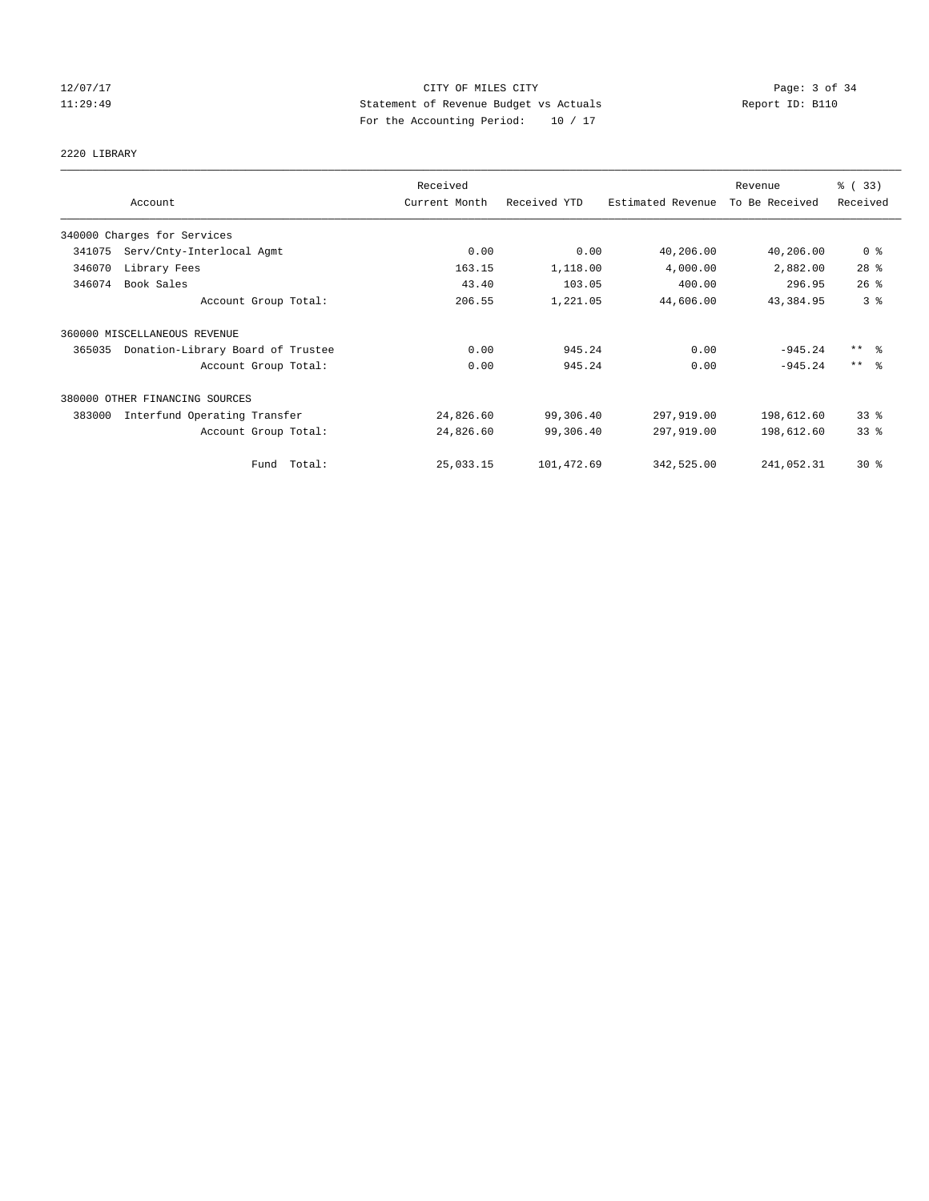### 12/07/17 CITY OF MILES CITY Page: 3 of 34 11:29:49 Statement of Revenue Budget vs Actuals Report ID: B110 For the Accounting Period: 10 / 17

# 2220 LIBRARY

|        |                                   | Received      |              |                   | Revenue        | % (33)              |
|--------|-----------------------------------|---------------|--------------|-------------------|----------------|---------------------|
|        | Account                           | Current Month | Received YTD | Estimated Revenue | To Be Received | Received            |
|        | 340000 Charges for Services       |               |              |                   |                |                     |
| 341075 | Serv/Cnty-Interlocal Agmt         | 0.00          | 0.00         | 40,206.00         | 40,206.00      | 0 <sup>8</sup>      |
| 346070 | Library Fees                      | 163.15        | 1,118.00     | 4,000.00          | 2,882.00       | $28$ %              |
| 346074 | Book Sales                        | 43.40         | 103.05       | 400.00            | 296.95         | $26$ $%$            |
|        | Account Group Total:              | 206.55        | 1,221.05     | 44,606.00         | 43, 384.95     | 3 <sup>8</sup>      |
|        | 360000 MISCELLANEOUS REVENUE      |               |              |                   |                |                     |
| 365035 | Donation-Library Board of Trustee | 0.00          | 945.24       | 0.00              | $-945.24$      | $***$ $\frac{6}{6}$ |
|        | Account Group Total:              | 0.00          | 945.24       | 0.00              | $-945.24$      | $***$ $\frac{6}{5}$ |
|        | 380000 OTHER FINANCING SOURCES    |               |              |                   |                |                     |
| 383000 | Interfund Operating Transfer      | 24,826.60     | 99,306.40    | 297,919.00        | 198,612.60     | 33%                 |
|        | Account Group Total:              | 24,826.60     | 99,306.40    | 297,919.00        | 198,612.60     | 33%                 |
|        | Fund Total:                       | 25,033.15     | 101,472.69   | 342,525.00        | 241,052.31     | $30*$               |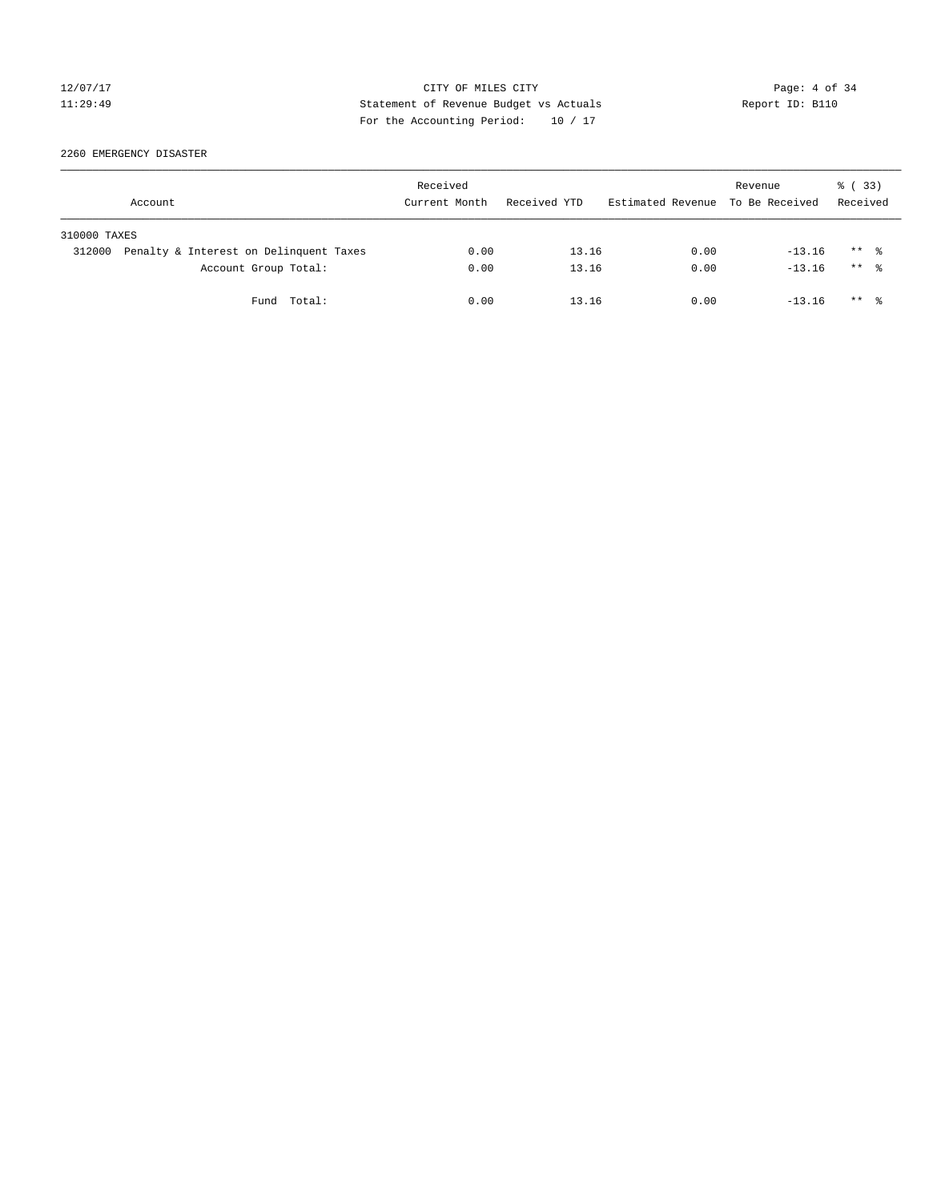### 12/07/17 CITY OF MILES CITY Page: 4 of 34 11:29:49 Statement of Revenue Budget vs Actuals Report ID: B110 For the Accounting Period: 10 / 17

2260 EMERGENCY DISASTER

|              | Account                                | Received<br>Current Month | Received YTD | Estimated Revenue To Be Received | Revenue  | % (33)<br>Received   |
|--------------|----------------------------------------|---------------------------|--------------|----------------------------------|----------|----------------------|
| 310000 TAXES |                                        |                           |              |                                  |          |                      |
| 312000       | Penalty & Interest on Delinquent Taxes | 0.00                      | 13.16        | 0.00                             | $-13.16$ | $***$ $\frac{6}{6}$  |
|              | Account Group Total:                   | 0.00                      | 13.16        | 0.00                             | $-13.16$ | $***$ $\frac{6}{10}$ |
|              | Fund Total:                            | 0.00                      | 13.16        | 0.00                             | $-13.16$ | $***$ $\frac{6}{10}$ |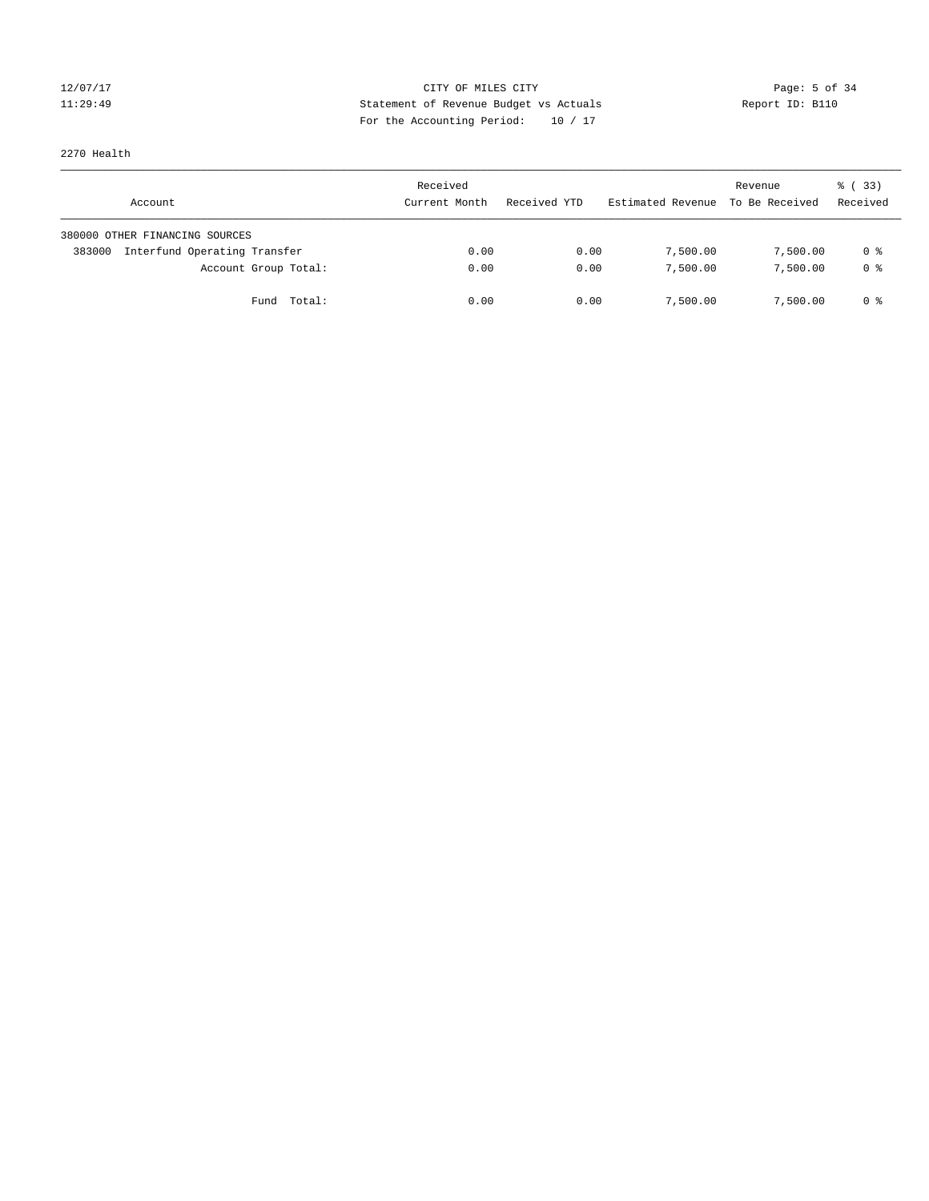# 12/07/17 Page: 5 of 34 11:29:49 Statement of Revenue Budget vs Actuals Report ID: B110 For the Accounting Period: 10 / 17

# 2270 Health

| Account                                | Received<br>Current Month | Received YTD | Estimated Revenue | Revenue<br>To Be Received | 8 (33)<br>Received |
|----------------------------------------|---------------------------|--------------|-------------------|---------------------------|--------------------|
| 380000 OTHER FINANCING SOURCES         |                           |              |                   |                           |                    |
| Interfund Operating Transfer<br>383000 | 0.00                      | 0.00         | 7,500.00          | 7,500.00                  | 0 %                |
| Account Group Total:                   | 0.00                      | 0.00         | 7,500.00          | 7,500.00                  | 0 <sup>8</sup>     |
| Fund Total:                            | 0.00                      | 0.00         | 7,500.00          | 7,500.00                  | 0 %                |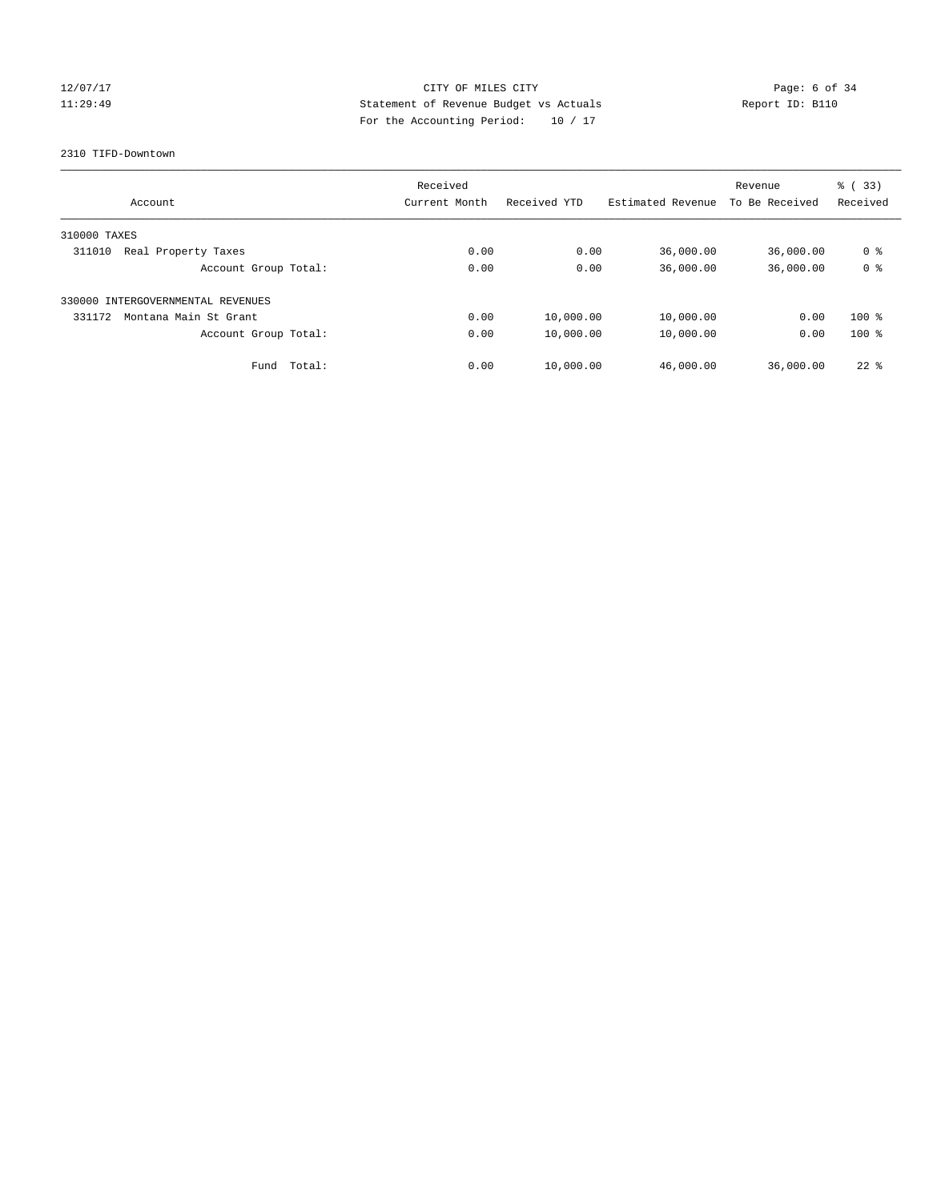### 12/07/17 CITY OF MILES CITY Page: 6 of 34 11:29:49 Statement of Revenue Budget vs Actuals Report ID: B110 For the Accounting Period: 10 / 17

2310 TIFD-Downtown

| Account                           |        | Received<br>Current Month | Received YTD | Estimated Revenue | Revenue<br>To Be Received | % (33)<br>Received |
|-----------------------------------|--------|---------------------------|--------------|-------------------|---------------------------|--------------------|
|                                   |        |                           |              |                   |                           |                    |
| 310000 TAXES                      |        |                           |              |                   |                           |                    |
| 311010<br>Real Property Taxes     |        | 0.00                      | 0.00         | 36,000.00         | 36,000.00                 | 0 %                |
| Account Group Total:              |        | 0.00                      | 0.00         | 36,000.00         | 36,000.00                 | 0 <sup>8</sup>     |
| 330000 INTERGOVERNMENTAL REVENUES |        |                           |              |                   |                           |                    |
| 331172<br>Montana Main St Grant   |        | 0.00                      | 10,000.00    | 10,000.00         | 0.00                      | $100*$             |
| Account Group Total:              |        | 0.00                      | 10,000.00    | 10,000.00         | 0.00                      | $100*$             |
| Fund                              | Total: | 0.00                      | 10,000.00    | 46,000.00         | 36,000.00                 | $22$ %             |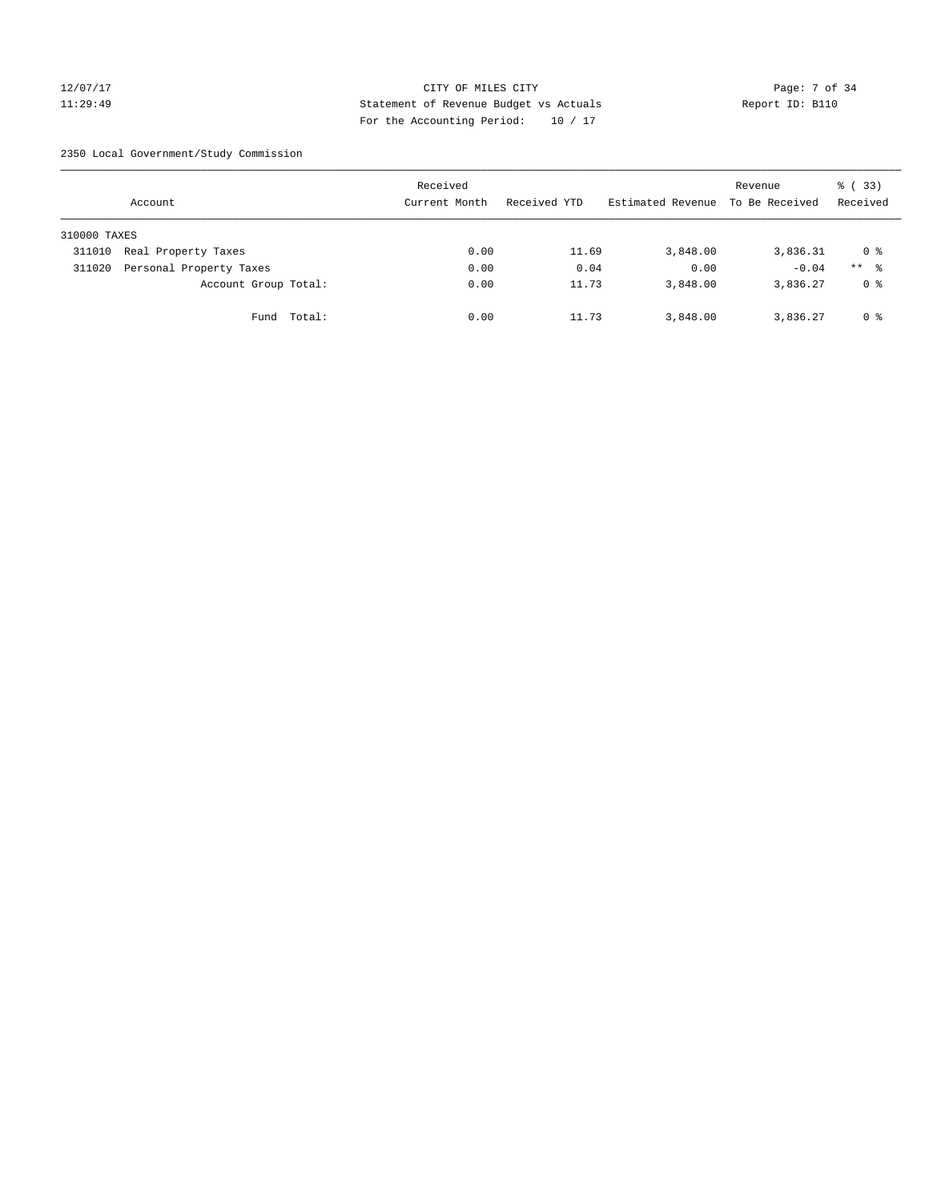### 12/07/17 CITY OF MILES CITY Page: 7 of 34 11:29:49 Statement of Revenue Budget vs Actuals Report ID: B110 For the Accounting Period: 10 / 17

2350 Local Government/Study Commission

|              | Account                 |             | Received<br>Current Month | Received YTD | Estimated Revenue | Revenue<br>To Be Received | % (33)<br>Received |
|--------------|-------------------------|-------------|---------------------------|--------------|-------------------|---------------------------|--------------------|
| 310000 TAXES |                         |             |                           |              |                   |                           |                    |
| 311010       | Real Property Taxes     |             | 0.00                      | 11.69        | 3,848.00          | 3,836.31                  | 0 %                |
| 311020       | Personal Property Taxes |             | 0.00                      | 0.04         | 0.00              | $-0.04$                   | $***$ %            |
|              | Account Group Total:    |             | 0.00                      | 11.73        | 3,848.00          | 3,836.27                  | 0 %                |
|              |                         | Fund Total: | 0.00                      | 11.73        | 3,848.00          | 3,836.27                  | 0 %                |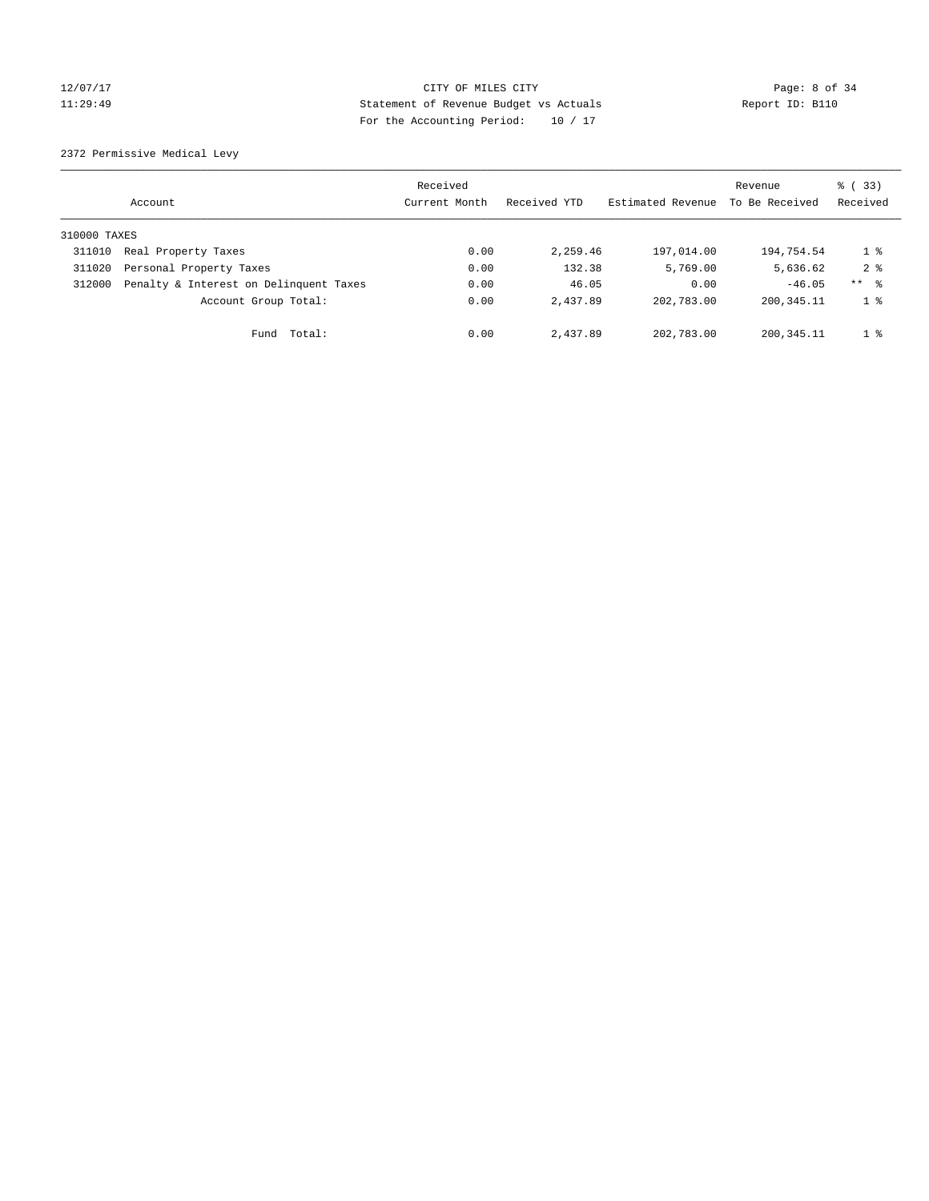# 12/07/17 Page: 8 of 34 11:29:49 Statement of Revenue Budget vs Actuals Report ID: B110 For the Accounting Period: 10 / 17

2372 Permissive Medical Levy

|              | Account                                | Received<br>Current Month | Received YTD | Estimated Revenue | Revenue<br>To Be Received | $\frac{1}{6}$ (33)<br>Received |
|--------------|----------------------------------------|---------------------------|--------------|-------------------|---------------------------|--------------------------------|
| 310000 TAXES |                                        |                           |              |                   |                           |                                |
| 311010       | Real Property Taxes                    | 0.00                      | 2,259.46     | 197,014.00        | 194,754.54                | 1 <sup>°</sup>                 |
| 311020       | Personal Property Taxes                | 0.00                      | 132.38       | 5,769.00          | 5,636.62                  | 2 <sup>8</sup>                 |
| 312000       | Penalty & Interest on Delinquent Taxes | 0.00                      | 46.05        | 0.00              | $-46.05$                  | ** 8                           |
|              | Account Group Total:                   | 0.00                      | 2,437.89     | 202,783.00        | 200, 345. 11              | 1 <sup>8</sup>                 |
|              | Fund Total:                            | 0.00                      | 2,437.89     | 202,783.00        | 200,345.11                | 1 <sup>8</sup>                 |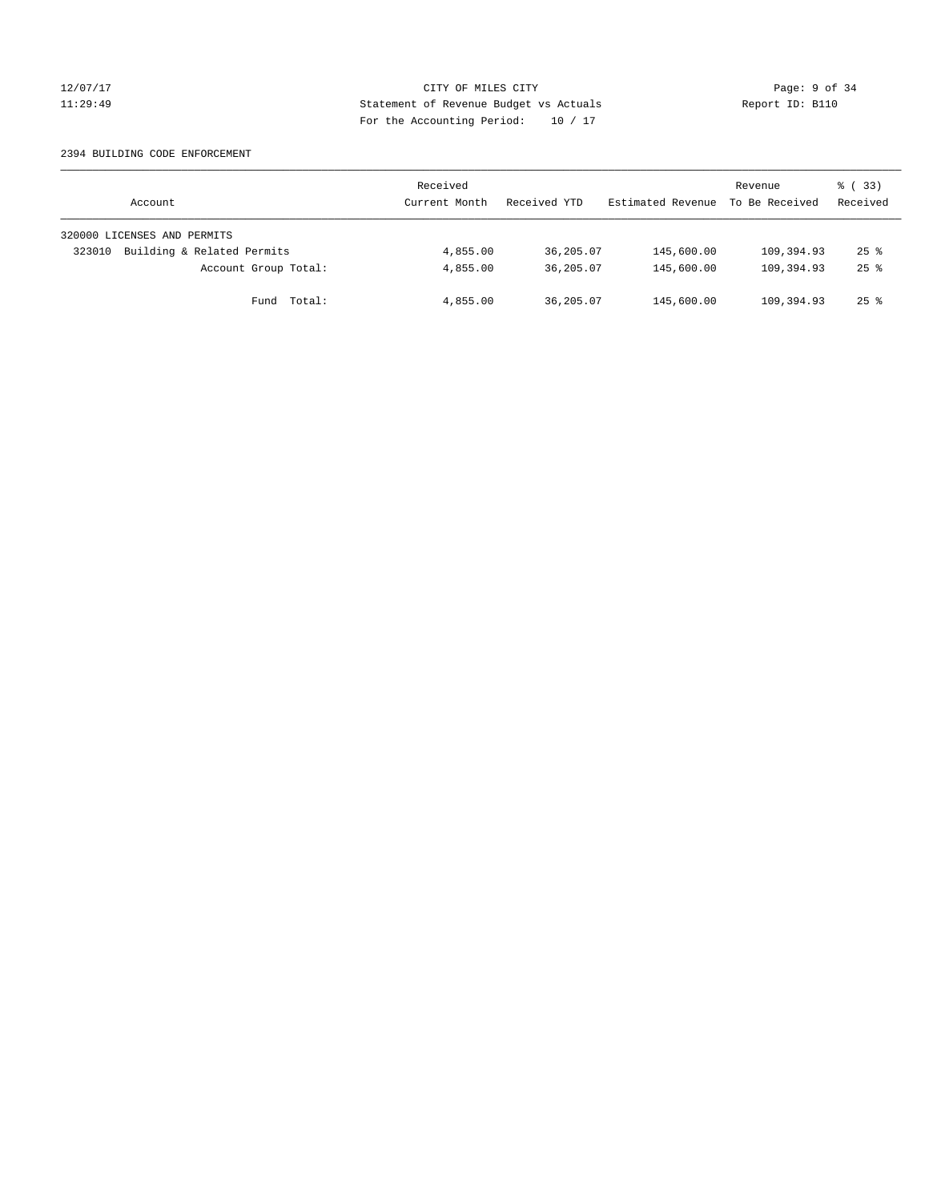### 12/07/17 CITY OF MILES CITY Page: 9 of 34 11:29:49 Statement of Revenue Budget vs Actuals Report ID: B110 For the Accounting Period: 10 / 17

### 2394 BUILDING CODE ENFORCEMENT

| Account                              | Received<br>Current Month | Received YTD | Estimated Revenue | Revenue<br>To Be Received | 8 (33)<br>Received |
|--------------------------------------|---------------------------|--------------|-------------------|---------------------------|--------------------|
| 320000 LICENSES AND PERMITS          |                           |              |                   |                           |                    |
| Building & Related Permits<br>323010 | 4,855.00                  | 36,205.07    | 145,600.00        | 109,394.93                | $25$ $\frac{6}{5}$ |
| Account Group Total:                 | 4,855.00                  | 36,205.07    | 145,600.00        | 109,394.93                | $25$ $\frac{6}{5}$ |
| Fund Total:                          | 4,855.00                  | 36,205.07    | 145,600.00        | 109,394.93                | $25$ %             |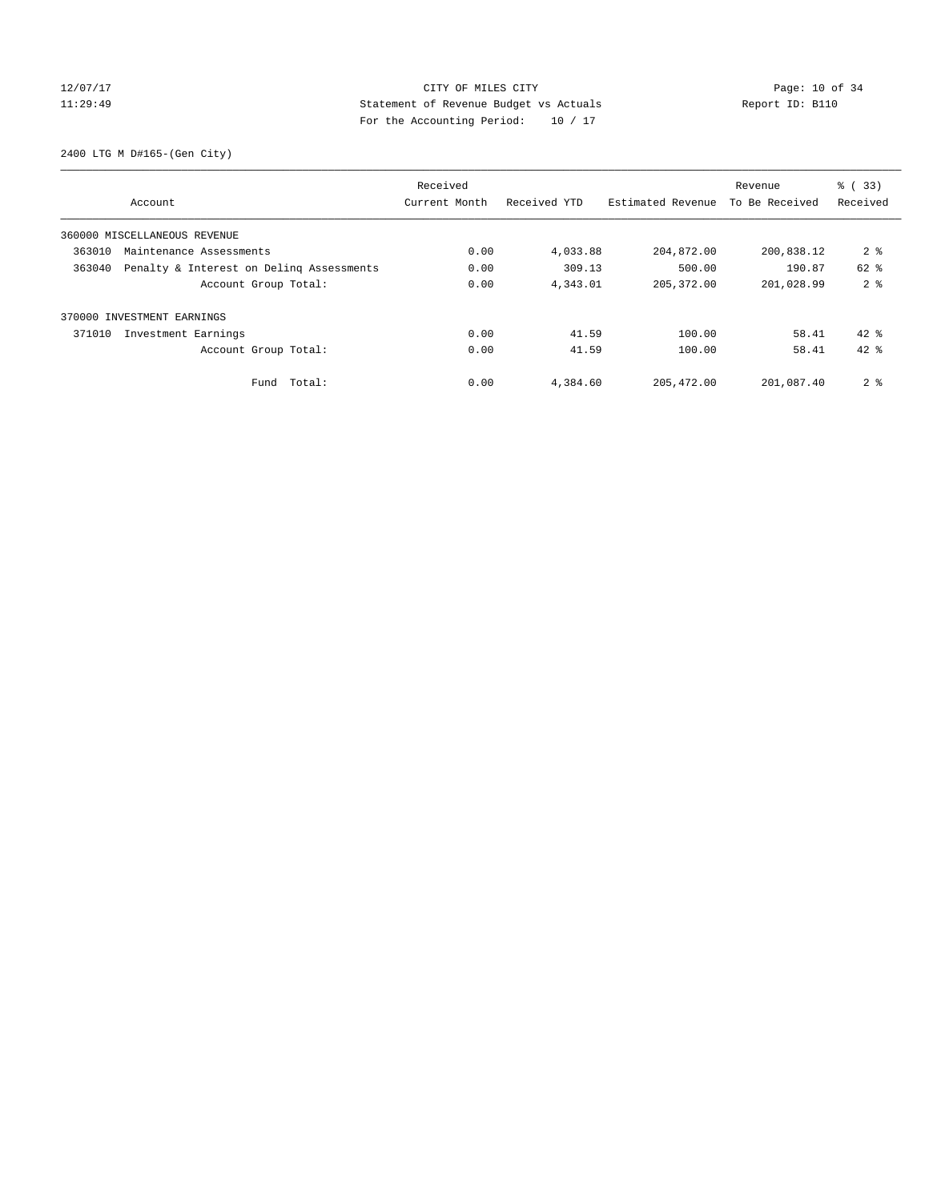### 12/07/17 Page: 10 of 34 11:29:49 Statement of Revenue Budget vs Actuals Report ID: B110 For the Accounting Period: 10 / 17

2400 LTG M D#165-(Gen City)

|        |                                          | Received      |              |                   | Revenue        | % (33)         |
|--------|------------------------------------------|---------------|--------------|-------------------|----------------|----------------|
|        | Account                                  | Current Month | Received YTD | Estimated Revenue | To Be Received | Received       |
|        | 360000 MISCELLANEOUS REVENUE             |               |              |                   |                |                |
| 363010 | Maintenance Assessments                  | 0.00          | 4,033.88     | 204,872.00        | 200,838.12     | 2 <sub>8</sub> |
| 363040 | Penalty & Interest on Deling Assessments | 0.00          | 309.13       | 500.00            | 190.87         | $62$ $%$       |
|        | Account Group Total:                     | 0.00          | 4,343.01     | 205, 372.00       | 201,028.99     | 2 <sup>8</sup> |
|        | 370000 INVESTMENT EARNINGS               |               |              |                   |                |                |
| 371010 | Investment Earnings                      | 0.00          | 41.59        | 100.00            | 58.41          | $42*$          |
|        | Account Group Total:                     | 0.00          | 41.59        | 100.00            | 58.41          | $42*$          |
|        | Total:<br>Fund                           | 0.00          | 4,384.60     | 205, 472.00       | 201,087.40     | 2 <sub>8</sub> |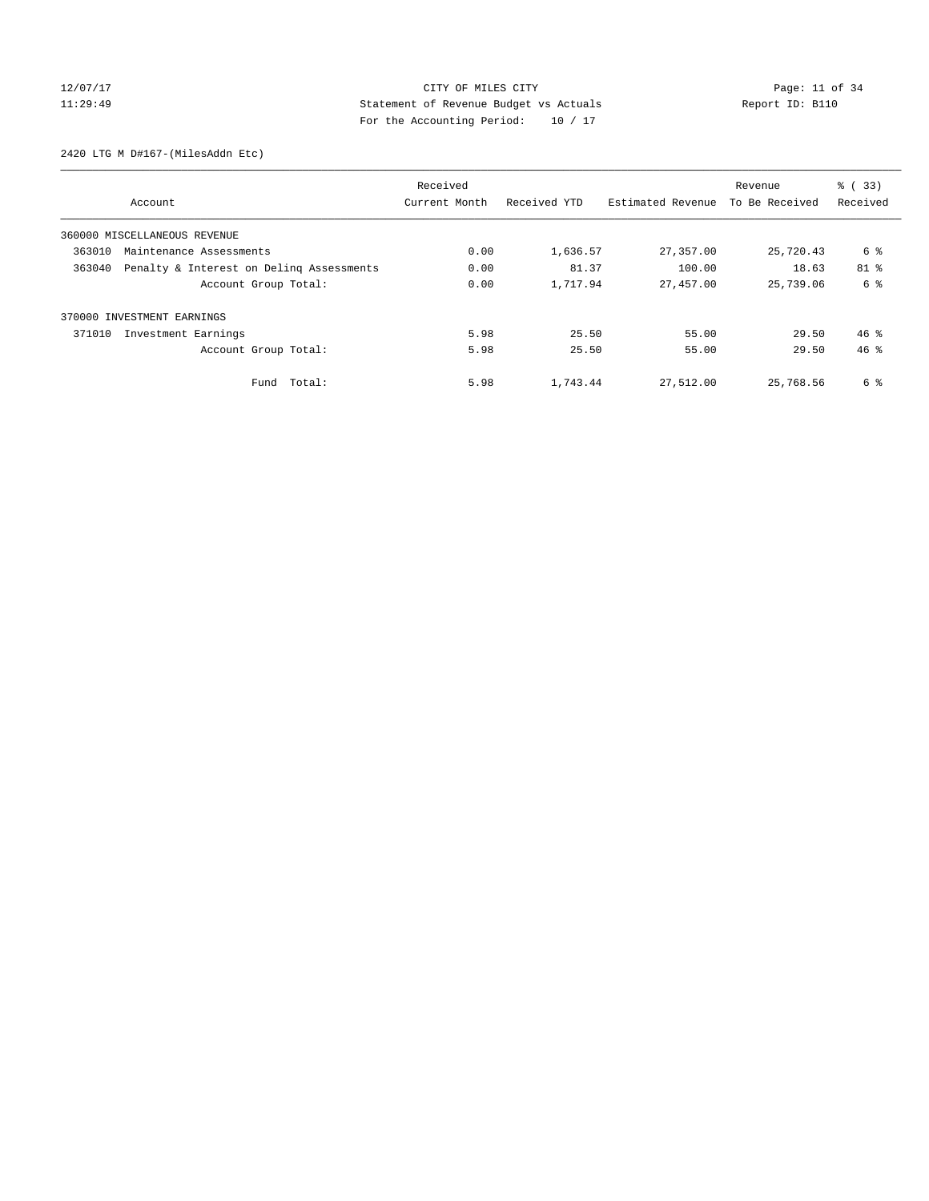# 12/07/17 Page: 11 of 34 11:29:49 Statement of Revenue Budget vs Actuals Report ID: B110 For the Accounting Period: 10 / 17

2420 LTG M D#167-(MilesAddn Etc)

|        |                                          | Received      |              |                   | Revenue        | $\frac{6}{6}$ (33) |
|--------|------------------------------------------|---------------|--------------|-------------------|----------------|--------------------|
|        | Account                                  | Current Month | Received YTD | Estimated Revenue | To Be Received | Received           |
|        | 360000 MISCELLANEOUS REVENUE             |               |              |                   |                |                    |
| 363010 | Maintenance Assessments                  | 0.00          | 1,636.57     | 27,357.00         | 25,720.43      | 6 %                |
| 363040 | Penalty & Interest on Deling Assessments | 0.00          | 81.37        | 100.00            | 18.63          | 81 %               |
|        | Account Group Total:                     | 0.00          | 1,717.94     | 27,457.00         | 25,739.06      | 6 %                |
|        | 370000 INVESTMENT EARNINGS               |               |              |                   |                |                    |
| 371010 | Investment Earnings                      | 5.98          | 25.50        | 55.00             | 29.50          | $46*$              |
|        | Account Group Total:                     | 5.98          | 25.50        | 55.00             | 29.50          | 46.8               |
|        | Fund Total:                              | 5.98          | 1,743.44     | 27,512.00         | 25,768.56      | 6 %                |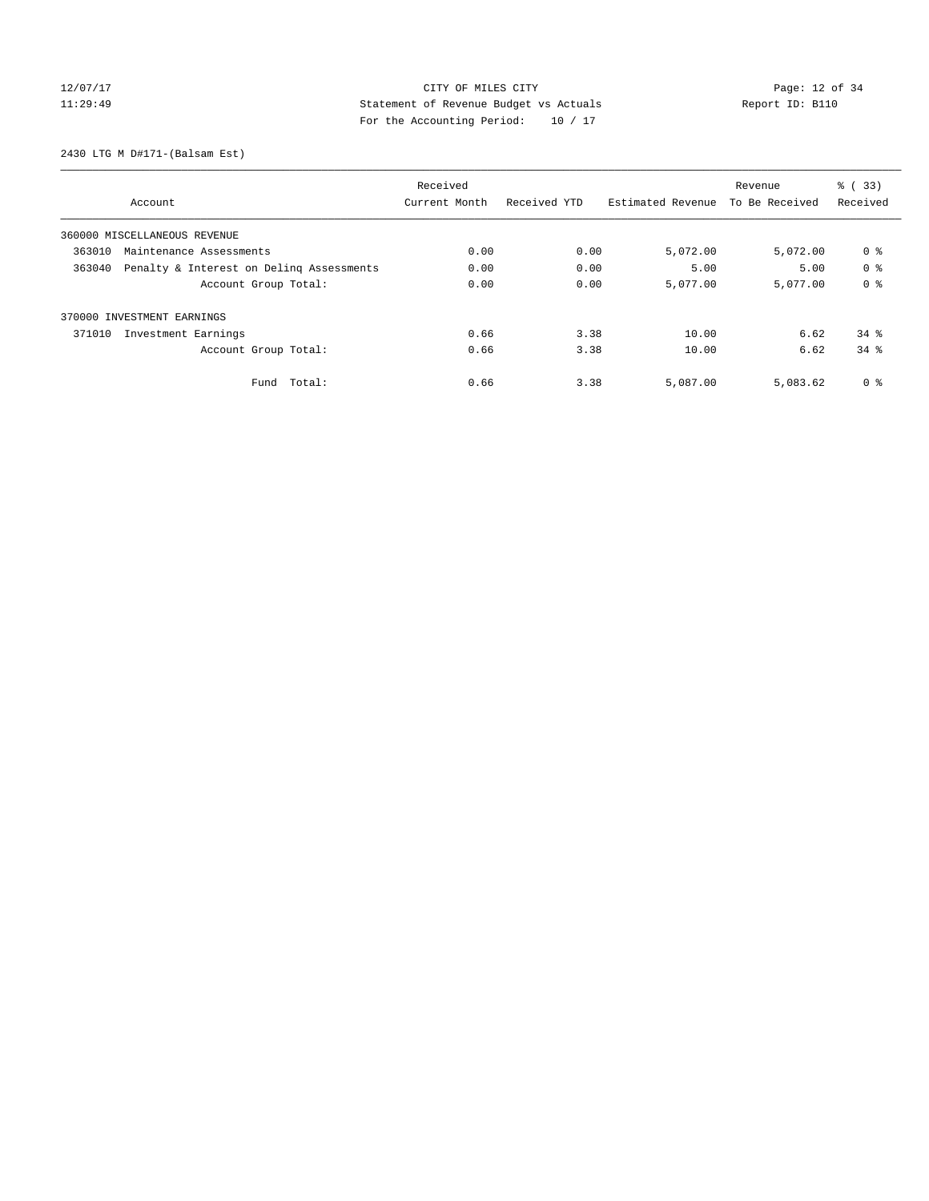# 12/07/17 Page: 12 of 34 11:29:49 Statement of Revenue Budget vs Actuals Report ID: B110 For the Accounting Period: 10 / 17

2430 LTG M D#171-(Balsam Est)

|        |                                          | Received      |              |                   | Revenue        | $\frac{1}{6}$ (33) |
|--------|------------------------------------------|---------------|--------------|-------------------|----------------|--------------------|
|        | Account                                  | Current Month | Received YTD | Estimated Revenue | To Be Received | Received           |
|        | 360000 MISCELLANEOUS REVENUE             |               |              |                   |                |                    |
| 363010 | Maintenance Assessments                  | 0.00          | 0.00         | 5,072.00          | 5,072.00       | 0 <sup>8</sup>     |
| 363040 | Penalty & Interest on Deling Assessments | 0.00          | 0.00         | 5.00              | 5.00           | 0 <sup>8</sup>     |
|        | Account Group Total:                     | 0.00          | 0.00         | 5,077.00          | 5,077.00       | 0 <sup>8</sup>     |
|        | 370000 INVESTMENT EARNINGS               |               |              |                   |                |                    |
| 371010 | Investment Earnings                      | 0.66          | 3.38         | 10.00             | 6.62           | $34*$              |
|        | Account Group Total:                     | 0.66          | 3.38         | 10.00             | 6.62           | $34$ $%$           |
|        | Total:<br>Fund                           | 0.66          | 3.38         | 5,087.00          | 5,083.62       | 0 <sup>8</sup>     |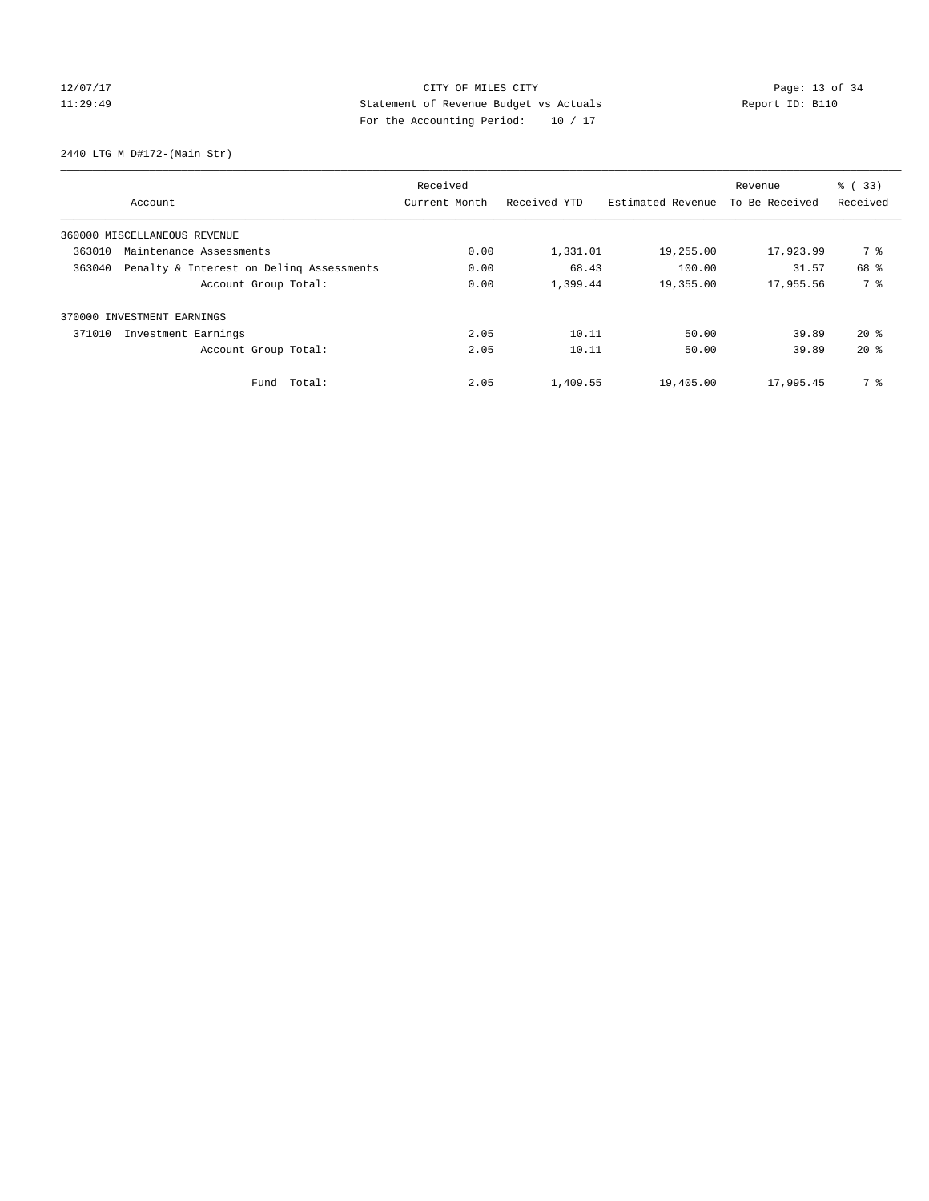# 12/07/17 Page: 13 of 34 11:29:49 Statement of Revenue Budget vs Actuals Report ID: B110 For the Accounting Period: 10 / 17

2440 LTG M D#172-(Main Str)

|        |                                          | Received      |              |                   | Revenue        | $\frac{6}{6}$ (33) |
|--------|------------------------------------------|---------------|--------------|-------------------|----------------|--------------------|
|        | Account                                  | Current Month | Received YTD | Estimated Revenue | To Be Received | Received           |
|        | 360000 MISCELLANEOUS REVENUE             |               |              |                   |                |                    |
| 363010 | Maintenance Assessments                  | 0.00          | 1,331.01     | 19,255.00         | 17,923.99      | 7 %                |
| 363040 | Penalty & Interest on Deling Assessments | 0.00          | 68.43        | 100.00            | 31.57          | 68 %               |
|        | Account Group Total:                     | 0.00          | 1,399.44     | 19,355.00         | 17,955.56      | 7 %                |
|        | 370000 INVESTMENT EARNINGS               |               |              |                   |                |                    |
| 371010 | Investment Earnings                      | 2.05          | 10.11        | 50.00             | 39.89          | $20*$              |
|        | Account Group Total:                     | 2.05          | 10.11        | 50.00             | 39.89          | $20*$              |
|        | Fund Total:                              | 2.05          | 1,409.55     | 19,405.00         | 17,995.45      | 7 %                |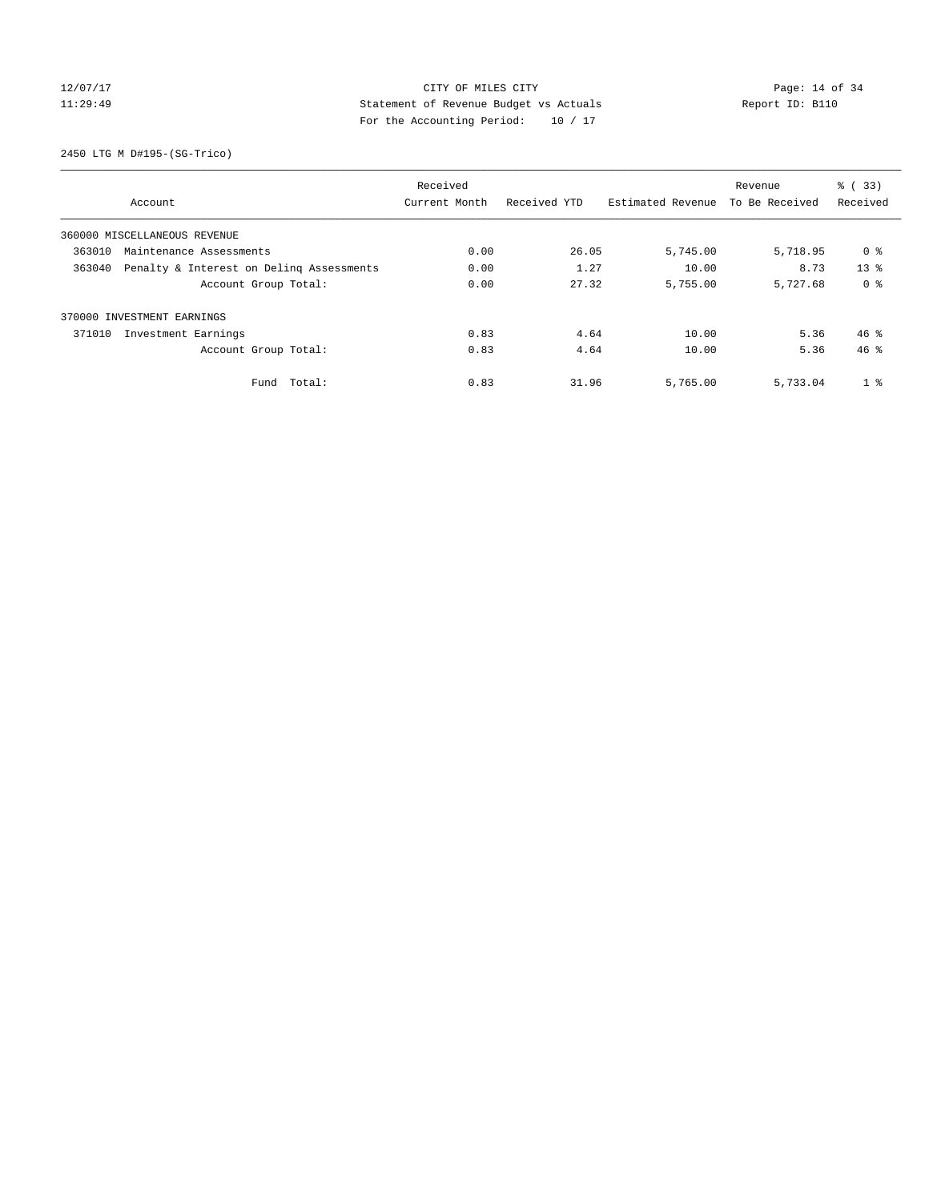# 12/07/17 Page: 14 of 34 11:29:49 Statement of Revenue Budget vs Actuals Report ID: B110 For the Accounting Period: 10 / 17

2450 LTG M D#195-(SG-Trico)

|        |                                          | Received      |              |                   | Revenue        | % (33)          |
|--------|------------------------------------------|---------------|--------------|-------------------|----------------|-----------------|
|        | Account                                  | Current Month | Received YTD | Estimated Revenue | To Be Received | Received        |
|        | 360000 MISCELLANEOUS REVENUE             |               |              |                   |                |                 |
| 363010 | Maintenance Assessments                  | 0.00          | 26.05        | 5,745.00          | 5,718.95       | 0 %             |
| 363040 | Penalty & Interest on Deling Assessments | 0.00          | 1.27         | 10.00             | 8.73           | 13 <sup>8</sup> |
|        | Account Group Total:                     | 0.00          | 27.32        | 5,755.00          | 5,727.68       | 0 <sup>8</sup>  |
|        | 370000 INVESTMENT EARNINGS               |               |              |                   |                |                 |
| 371010 | Investment Earnings                      | 0.83          | 4.64         | 10.00             | 5.36           | $46*$           |
|        | Account Group Total:                     | 0.83          | 4.64         | 10.00             | 5.36           | 46.8            |
|        | Total:<br>Fund                           | 0.83          | 31.96        | 5,765.00          | 5,733.04       | 1 <sup>°</sup>  |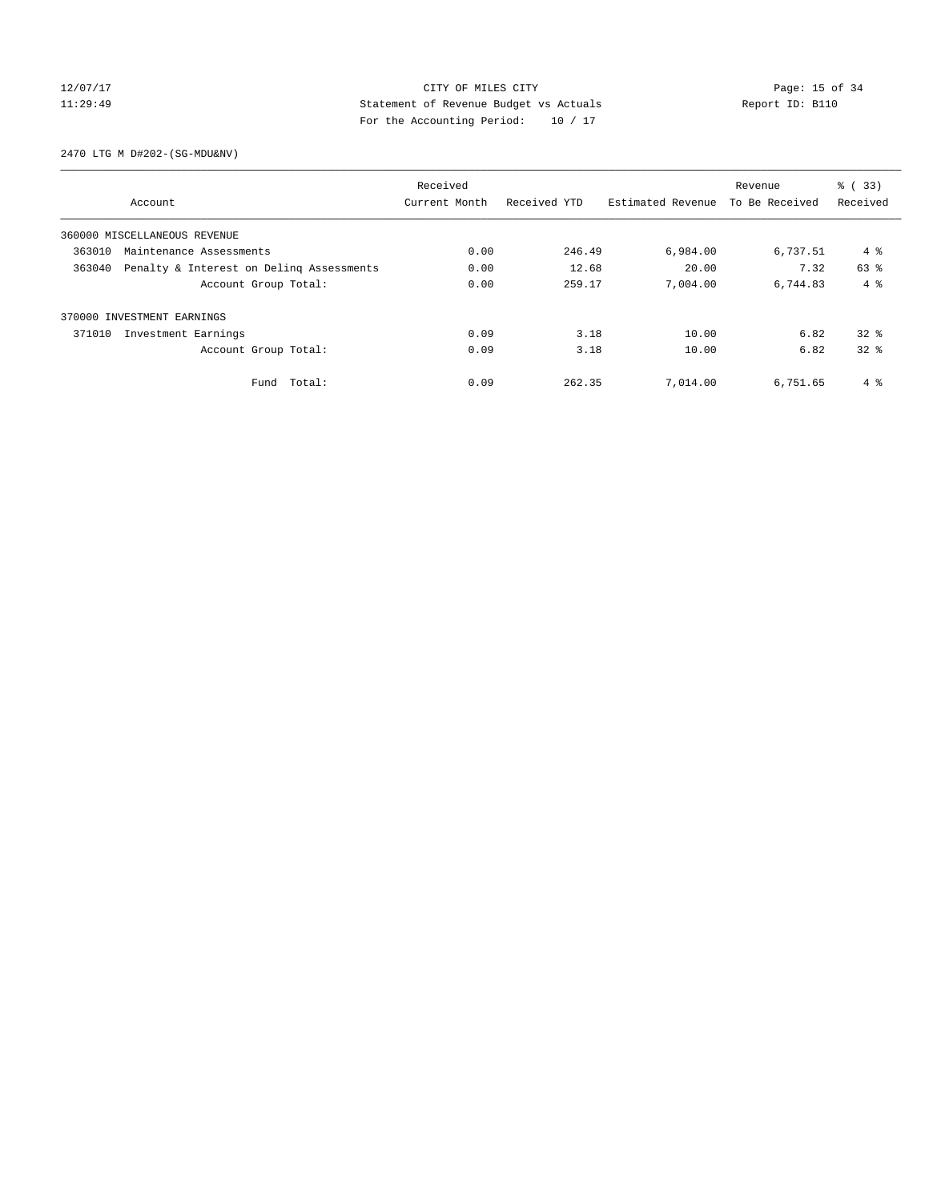### 12/07/17 Page: 15 of 34 11:29:49 Statement of Revenue Budget vs Actuals Report ID: B110 For the Accounting Period: 10 / 17

2470 LTG M D#202-(SG-MDU&NV)

|        |                                          | Received      |              |                   | Revenue        | $\frac{1}{6}$ (33) |
|--------|------------------------------------------|---------------|--------------|-------------------|----------------|--------------------|
|        | Account                                  | Current Month | Received YTD | Estimated Revenue | To Be Received | Received           |
|        | 360000 MISCELLANEOUS REVENUE             |               |              |                   |                |                    |
| 363010 | Maintenance Assessments                  | 0.00          | 246.49       | 6,984.00          | 6,737.51       | $4 \text{ }$       |
| 363040 | Penalty & Interest on Deling Assessments | 0.00          | 12.68        | 20.00             | 7.32           | 63 %               |
|        | Account Group Total:                     | 0.00          | 259.17       | 7,004.00          | 6,744.83       | $4 \text{ }$       |
|        | 370000 INVESTMENT EARNINGS               |               |              |                   |                |                    |
| 371010 | Investment Earnings                      | 0.09          | 3.18         | 10.00             | 6.82           | $32*$              |
|        | Account Group Total:                     | 0.09          | 3.18         | 10.00             | 6.82           | 328                |
|        | Total:<br>Fund                           | 0.09          | 262.35       | 7,014.00          | 6,751.65       | 4 %                |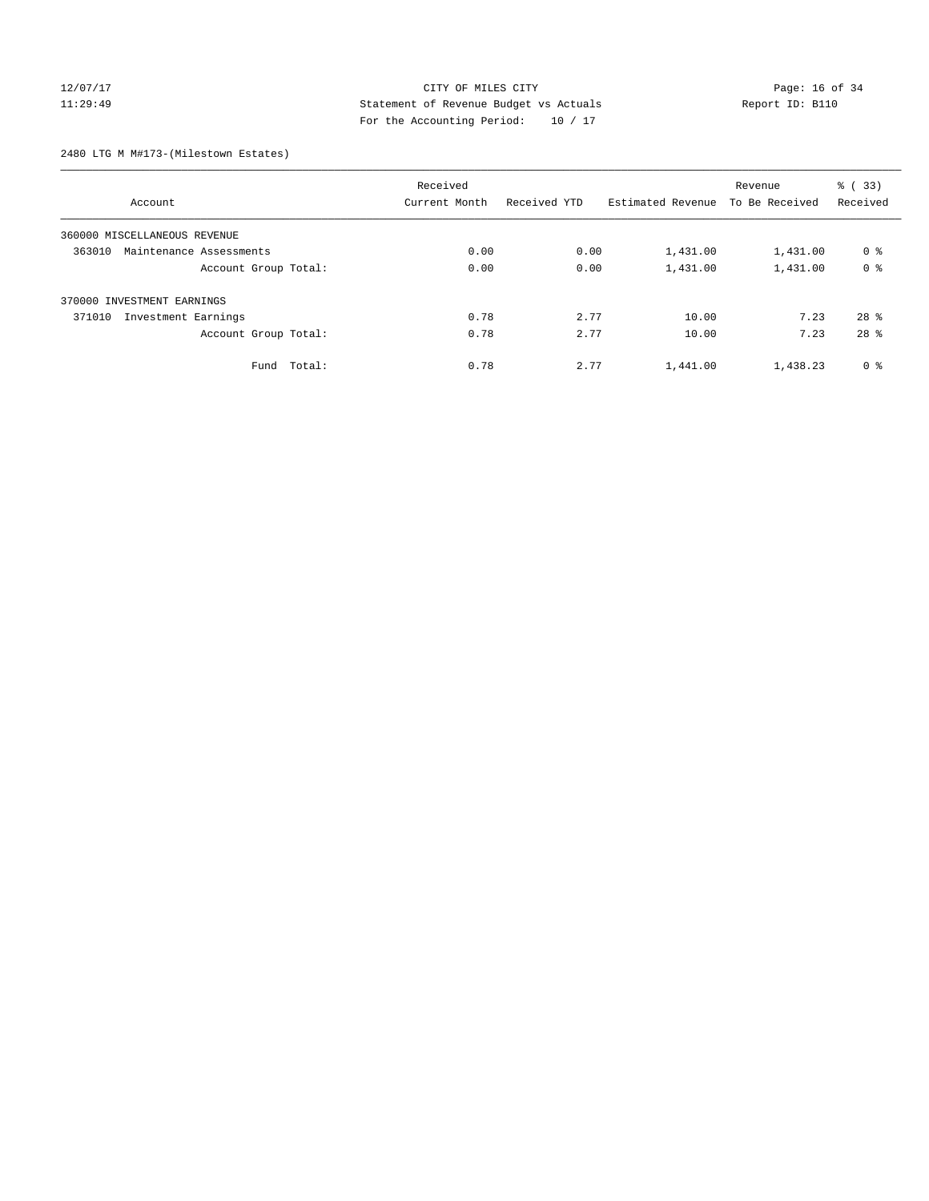### 12/07/17 Page: 16 of 34 11:29:49 Statement of Revenue Budget vs Actuals Report ID: B110 For the Accounting Period: 10 / 17

2480 LTG M M#173-(Milestown Estates)

| Account                           | Received<br>Current Month | Received YTD | Estimated Revenue | Revenue<br>To Be Received | % (33)<br>Received |
|-----------------------------------|---------------------------|--------------|-------------------|---------------------------|--------------------|
|                                   |                           |              |                   |                           |                    |
| 360000 MISCELLANEOUS REVENUE      |                           |              |                   |                           |                    |
| 363010<br>Maintenance Assessments | 0.00                      | 0.00         | 1,431.00          | 1,431.00                  | 0 <sup>8</sup>     |
| Account Group Total:              | 0.00                      | 0.00         | 1,431.00          | 1,431.00                  | 0 <sup>8</sup>     |
| 370000 INVESTMENT EARNINGS        |                           |              |                   |                           |                    |
| 371010<br>Investment Earnings     | 0.78                      | 2.77         | 10.00             | 7.23                      | $28$ $%$           |
| Account Group Total:              | 0.78                      | 2.77         | 10.00             | 7.23                      | 28 <sup>8</sup>    |
| Fund Total:                       | 0.78                      | 2.77         | 1,441.00          | 1,438.23                  | 0 <sup>8</sup>     |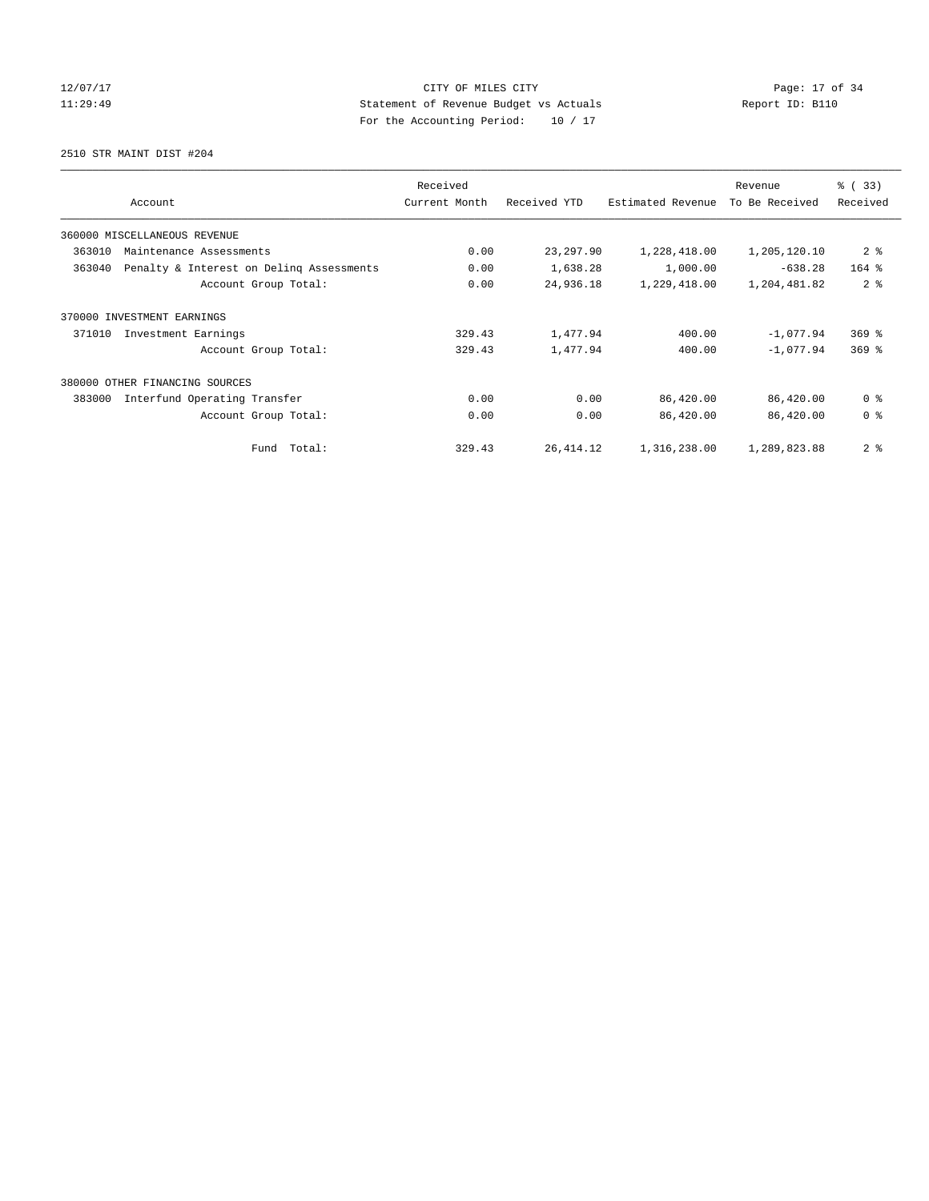12/07/17 Page: 17 of 34 11:29:49 Statement of Revenue Budget vs Actuals Report ID: B110 For the Accounting Period: 10 / 17

2510 STR MAINT DIST #204

| Account                                            | Received<br>Current Month | Received YTD | Estimated Revenue | Revenue<br>To Be Received | % (33)<br>Received |
|----------------------------------------------------|---------------------------|--------------|-------------------|---------------------------|--------------------|
| 360000 MISCELLANEOUS REVENUE                       |                           |              |                   |                           |                    |
| 363010<br>Maintenance Assessments                  | 0.00                      | 23, 297.90   | 1,228,418.00      | 1,205,120.10              | 2 <sub>8</sub>     |
| 363040<br>Penalty & Interest on Deling Assessments | 0.00                      | 1,638.28     | 1,000.00          | $-638.28$                 | $164$ %            |
| Account Group Total:                               | 0.00                      | 24,936.18    | 1,229,418.00      | 1,204,481.82              | 2 <sup>8</sup>     |
| 370000 INVESTMENT EARNINGS                         |                           |              |                   |                           |                    |
| 371010<br>Investment Earnings                      | 329.43                    | 1,477.94     | 400.00            | $-1,077.94$               | $369$ $%$          |
| Account Group Total:                               | 329.43                    | 1,477.94     | 400.00            | $-1,077.94$               | $369$ $%$          |
| 380000<br>OTHER FINANCING SOURCES                  |                           |              |                   |                           |                    |
| Interfund Operating Transfer<br>383000             | 0.00                      | 0.00         | 86,420.00         | 86,420.00                 | 0 <sup>8</sup>     |
| Account Group Total:                               | 0.00                      | 0.00         | 86,420.00         | 86,420.00                 | 0 <sup>8</sup>     |
| Fund Total:                                        | 329.43                    | 26, 414.12   | 1,316,238.00      | 1,289,823.88              | 2 <sup>8</sup>     |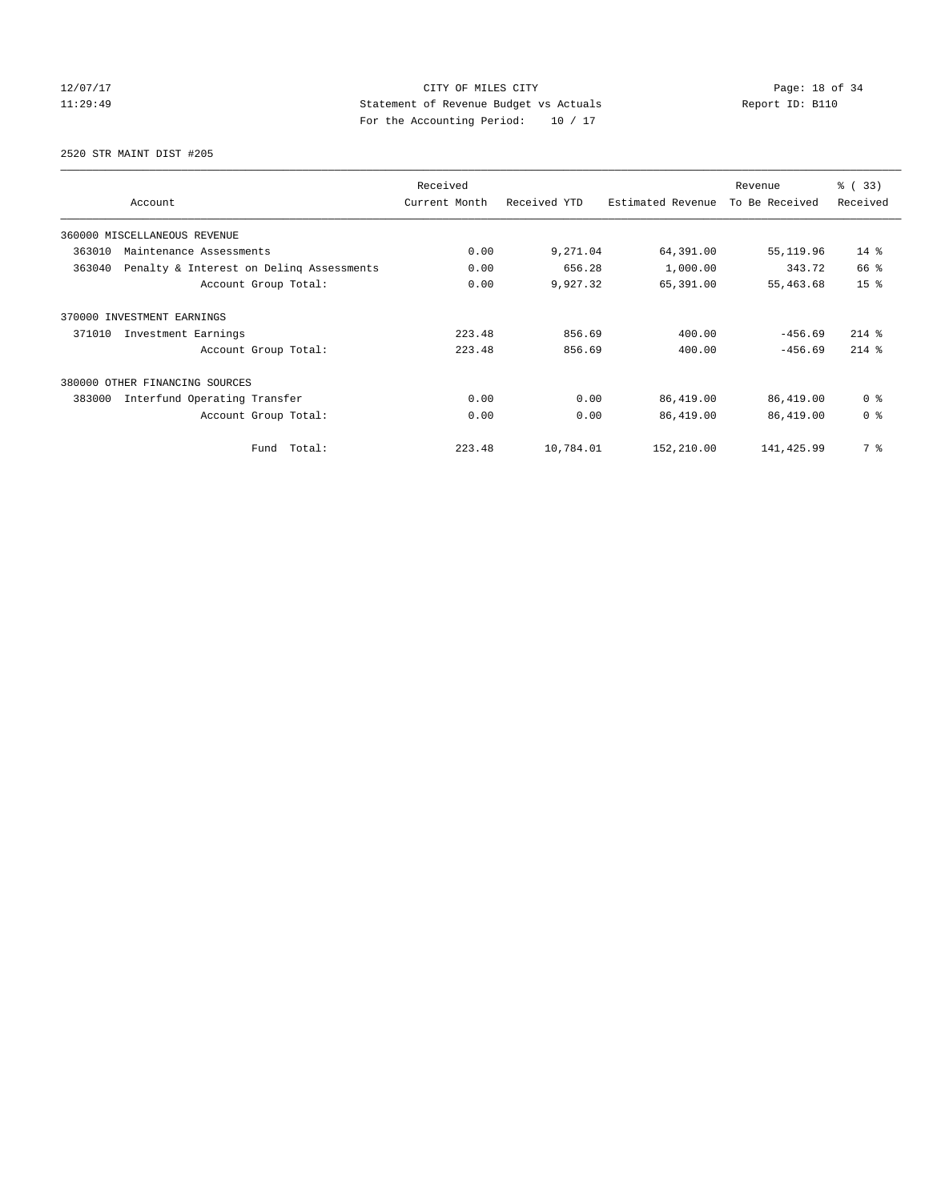12/07/17 Page: 18 of 34 11:29:49 Statement of Revenue Budget vs Actuals Report ID: B110 For the Accounting Period: 10 / 17

2520 STR MAINT DIST #205

| Account                                            | Received<br>Current Month | Received YTD | Estimated Revenue | Revenue<br>To Be Received | % (33)<br>Received |
|----------------------------------------------------|---------------------------|--------------|-------------------|---------------------------|--------------------|
| 360000 MISCELLANEOUS REVENUE                       |                           |              |                   |                           |                    |
| 363010<br>Maintenance Assessments                  | 0.00                      | 9,271.04     | 64,391.00         | 55, 119.96                | $14*$              |
| Penalty & Interest on Deling Assessments<br>363040 | 0.00                      | 656.28       | 1,000.00          | 343.72                    | 66 %               |
| Account Group Total:                               | 0.00                      | 9,927.32     | 65,391.00         | 55,463.68                 | 15 <sup>8</sup>    |
| 370000 INVESTMENT EARNINGS                         |                           |              |                   |                           |                    |
| 371010<br>Investment Earnings                      | 223.48                    | 856.69       | 400.00            | $-456.69$                 | $214$ %            |
| Account Group Total:                               | 223.48                    | 856.69       | 400.00            | $-456.69$                 | $214$ %            |
| 380000 OTHER FINANCING SOURCES                     |                           |              |                   |                           |                    |
| 383000<br>Interfund Operating Transfer             | 0.00                      | 0.00         | 86,419.00         | 86,419.00                 | 0 <sup>8</sup>     |
| Account Group Total:                               | 0.00                      | 0.00         | 86,419.00         | 86,419.00                 | 0 <sup>8</sup>     |
| Total:<br>Fund                                     | 223.48                    | 10,784.01    | 152,210.00        | 141,425.99                | 7 %                |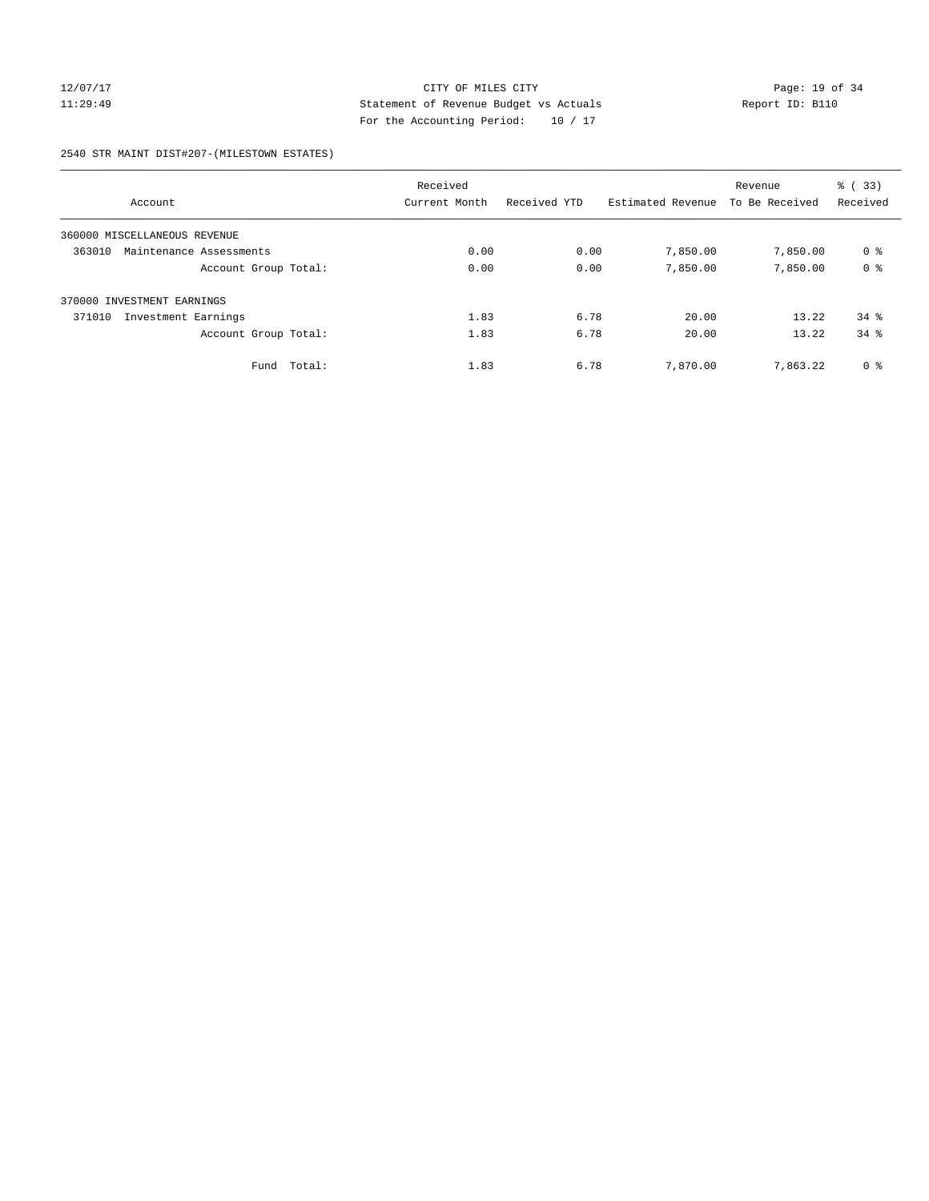### 12/07/17 Page: 19 of 34 11:29:49 Statement of Revenue Budget vs Actuals Report ID: B110 For the Accounting Period: 10 / 17

2540 STR MAINT DIST#207-(MILESTOWN ESTATES)

|                                   | Received      |              |                   | Revenue        | % (33)         |
|-----------------------------------|---------------|--------------|-------------------|----------------|----------------|
| Account                           | Current Month | Received YTD | Estimated Revenue | To Be Received | Received       |
| 360000 MISCELLANEOUS REVENUE      |               |              |                   |                |                |
| 363010<br>Maintenance Assessments | 0.00          | 0.00         | 7,850.00          | 7,850.00       | 0 <sup>8</sup> |
| Account Group Total:              | 0.00          | 0.00         | 7,850.00          | 7,850.00       | 0 <sup>8</sup> |
| 370000 INVESTMENT EARNINGS        |               |              |                   |                |                |
| 371010<br>Investment Earnings     | 1.83          | 6.78         | 20.00             | 13.22          | 34.8           |
| Account Group Total:              | 1.83          | 6.78         | 20.00             | 13.22          | $34*$          |
| Total:<br>Fund                    | 1.83          | 6.78         | 7,870.00          | 7.863.22       | 0 <sup>8</sup> |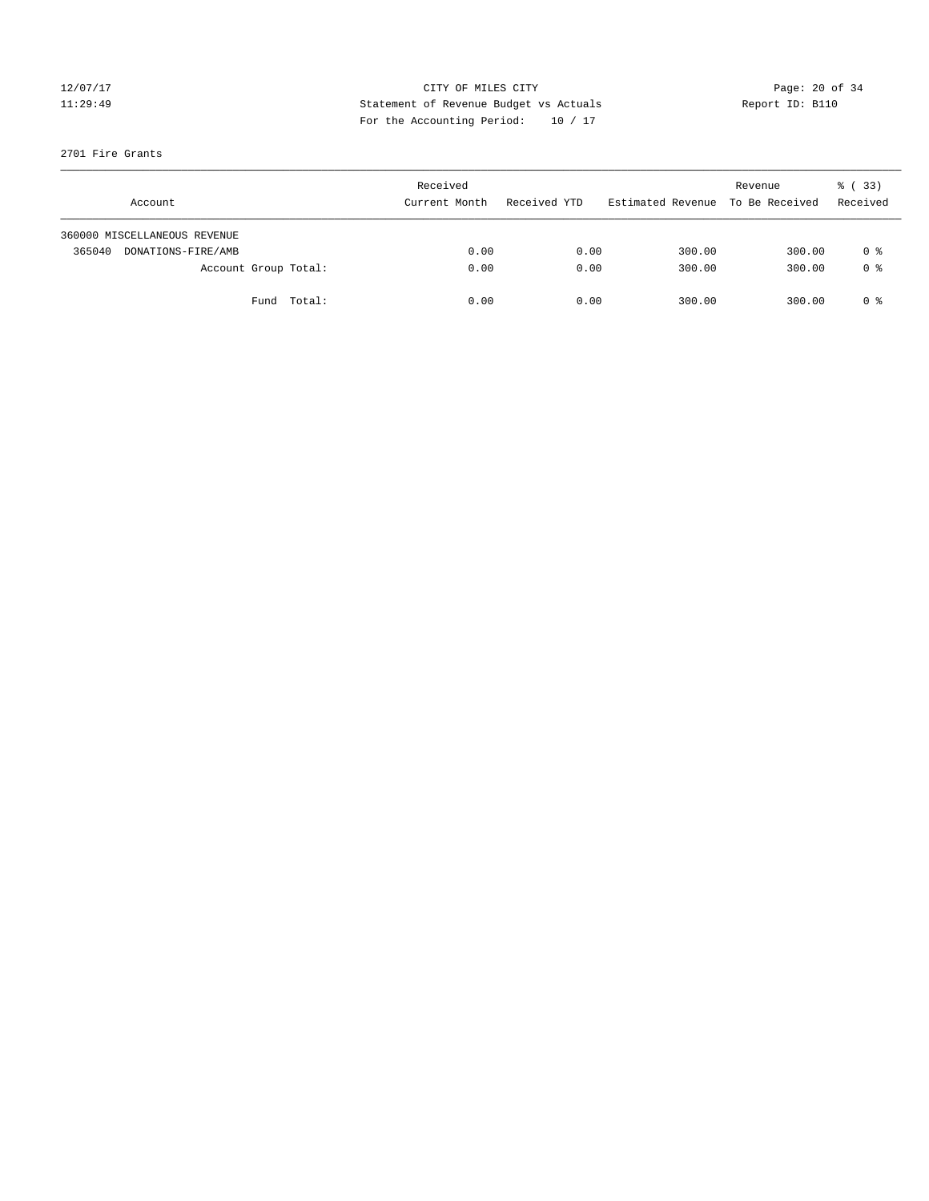### 12/07/17 Page: 20 of 34 11:29:49 Statement of Revenue Budget vs Actuals Report ID: B110 For the Accounting Period: 10 / 17

### 2701 Fire Grants

|        | Account                      |             | Received<br>Current Month | Received YTD | Estimated Revenue | Revenue<br>To Be Received | % (33)<br>Received |
|--------|------------------------------|-------------|---------------------------|--------------|-------------------|---------------------------|--------------------|
|        | 360000 MISCELLANEOUS REVENUE |             |                           |              |                   |                           |                    |
| 365040 | DONATIONS-FIRE/AMB           |             | 0.00                      | 0.00         | 300.00            | 300.00                    | 0 %                |
|        | Account Group Total:         |             | 0.00                      | 0.00         | 300.00            | 300.00                    | 0 <sup>8</sup>     |
|        |                              | Fund Total: | 0.00                      | 0.00         | 300.00            | 300.00                    | 0 %                |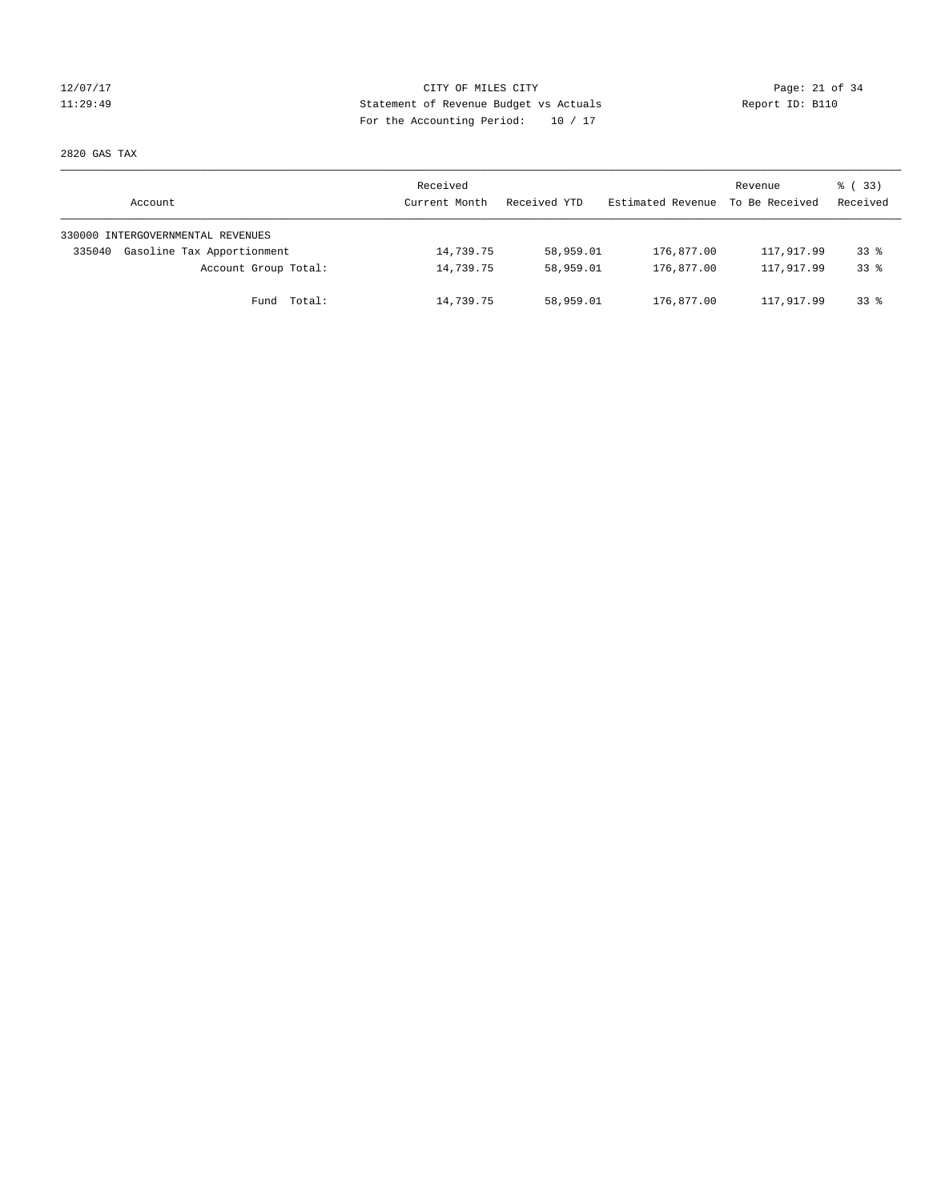### 12/07/17 Page: 21 of 34 11:29:49 Statement of Revenue Budget vs Actuals Report ID: B110 For the Accounting Period: 10 / 17

2820 GAS TAX

| Account                              | Received<br>Current Month | Received YTD | Estimated Revenue | Revenue<br>To Be Received | 8 (33)<br>Received |
|--------------------------------------|---------------------------|--------------|-------------------|---------------------------|--------------------|
| 330000 INTERGOVERNMENTAL REVENUES    |                           |              |                   |                           |                    |
| Gasoline Tax Apportionment<br>335040 | 14,739.75                 | 58,959.01    | 176,877.00        | 117,917.99                | $33*$              |
| Account Group Total:                 | 14,739.75                 | 58,959.01    | 176,877.00        | 117,917.99                | $33*$              |
| Total:<br>Fund                       | 14,739.75                 | 58,959.01    | 176,877.00        | 117,917.99                | $33*$              |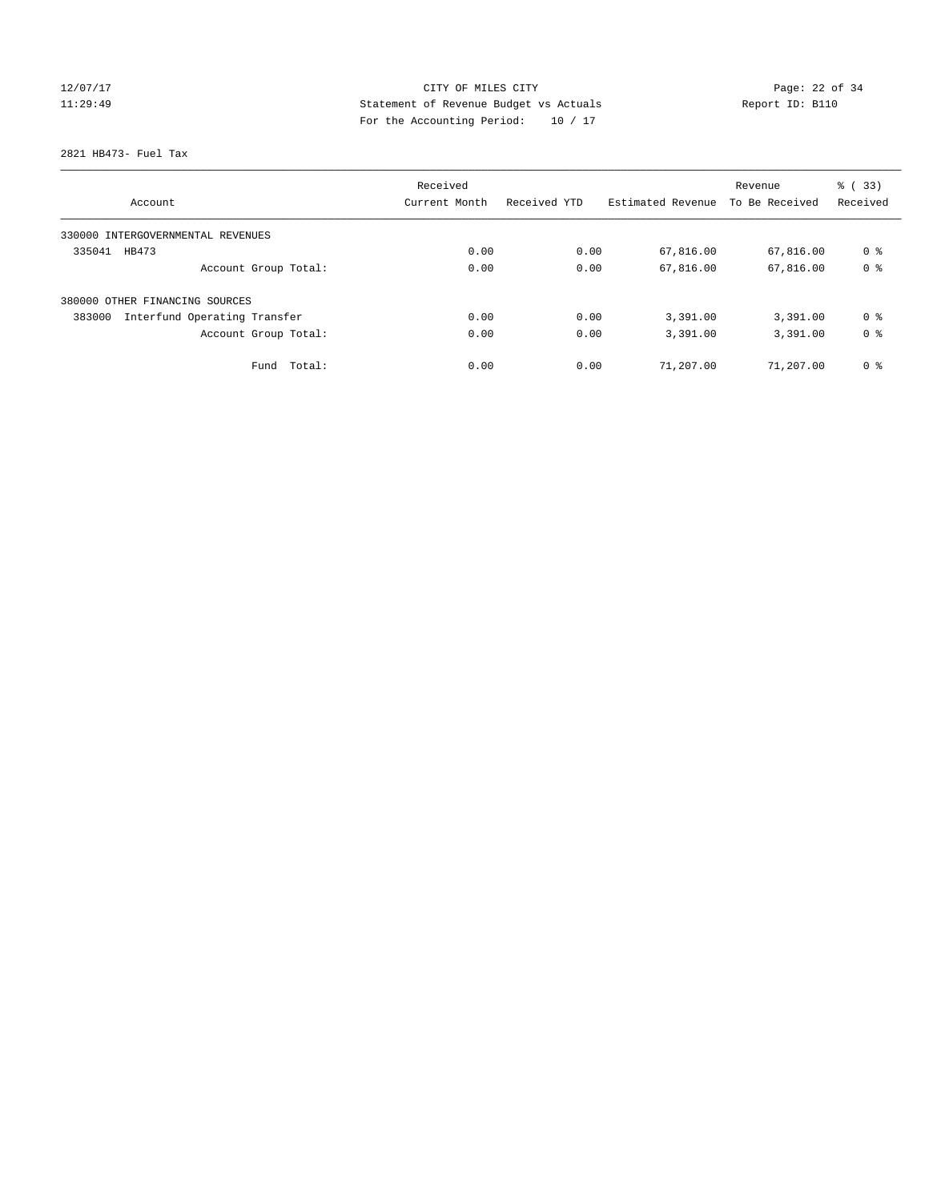# 12/07/17 Page: 22 of 34 11:29:49 Statement of Revenue Budget vs Actuals Report ID: B110 For the Accounting Period: 10 / 17

2821 HB473- Fuel Tax

| Account                                | Received<br>Current Month | Received YTD | Estimated Revenue | Revenue<br>To Be Received | $\frac{6}{6}$ (33)<br>Received |
|----------------------------------------|---------------------------|--------------|-------------------|---------------------------|--------------------------------|
|                                        |                           |              |                   |                           |                                |
| 330000 INTERGOVERNMENTAL REVENUES      |                           |              |                   |                           |                                |
| 335041<br>HB473                        | 0.00                      | 0.00         | 67,816.00         | 67,816.00                 | 0 <sup>8</sup>                 |
| Account Group Total:                   | 0.00                      | 0.00         | 67,816.00         | 67,816.00                 | 0 <sup>8</sup>                 |
| 380000 OTHER FINANCING SOURCES         |                           |              |                   |                           |                                |
| Interfund Operating Transfer<br>383000 | 0.00                      | 0.00         | 3,391.00          | 3,391.00                  | 0 <sup>8</sup>                 |
| Account Group Total:                   | 0.00                      | 0.00         | 3,391.00          | 3,391.00                  | 0 <sup>8</sup>                 |
| Total:<br>Fund                         | 0.00                      | 0.00         | 71,207.00         | 71,207.00                 | 0 <sup>8</sup>                 |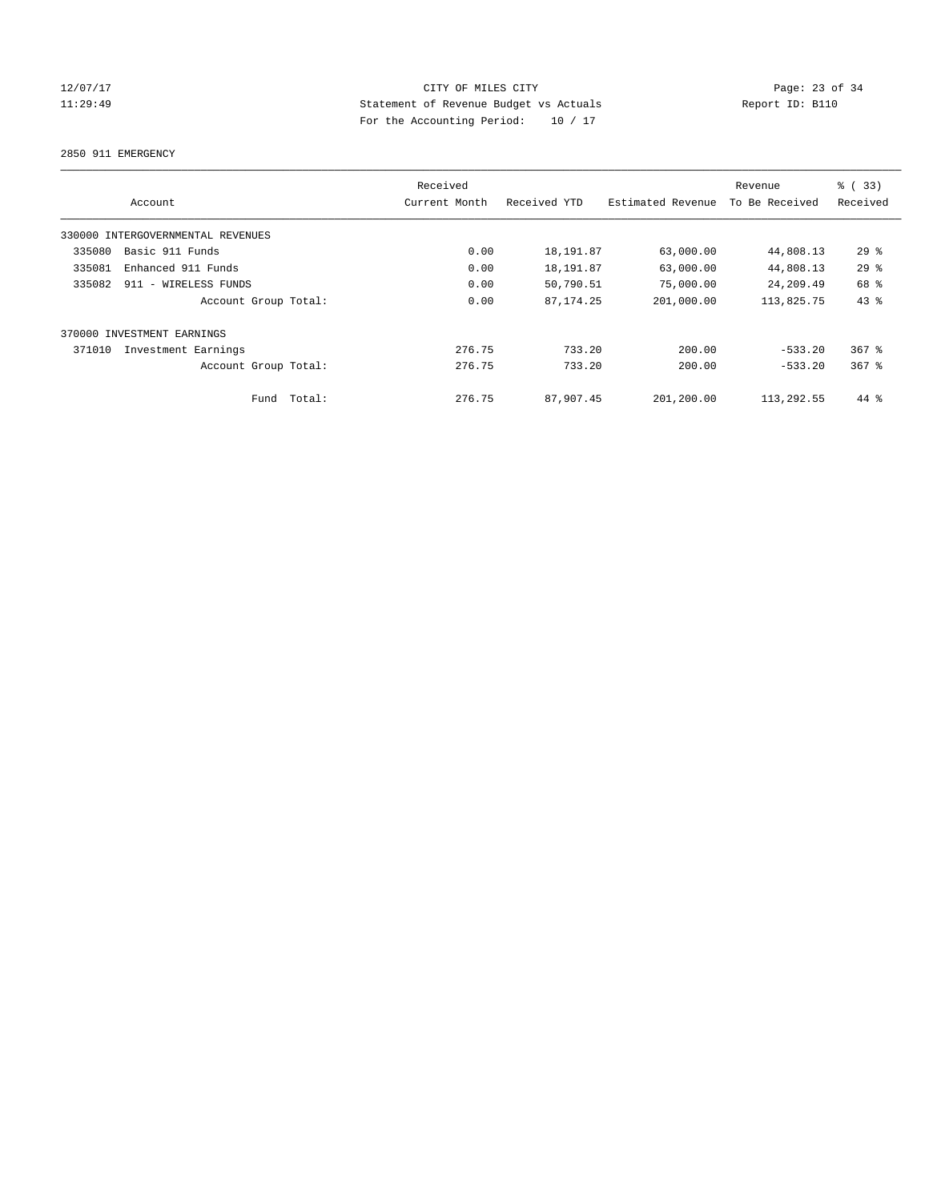### 12/07/17 Page: 23 of 34 11:29:49 Statement of Revenue Budget vs Actuals Report ID: B110 For the Accounting Period: 10 / 17

2850 911 EMERGENCY

|                            |                                   | Received      |              |                   | Revenue        | % (33)    |
|----------------------------|-----------------------------------|---------------|--------------|-------------------|----------------|-----------|
|                            | Account                           | Current Month | Received YTD | Estimated Revenue | To Be Received | Received  |
|                            | 330000 INTERGOVERNMENTAL REVENUES |               |              |                   |                |           |
| 335080                     | Basic 911 Funds                   | 0.00          | 18,191.87    | 63,000.00         | 44,808.13      | 29%       |
| 335081                     | Enhanced 911 Funds                | 0.00          | 18,191.87    | 63,000.00         | 44,808.13      | 29%       |
| 335082                     | 911 - WIRELESS FUNDS              | 0.00          | 50,790.51    | 75,000.00         | 24,209.49      | 68 %      |
|                            | Account Group Total:              | 0.00          | 87, 174. 25  | 201,000.00        | 113,825.75     | $43$ %    |
| 370000 INVESTMENT EARNINGS |                                   |               |              |                   |                |           |
| 371010                     | Investment Earnings               | 276.75        | 733.20       | 200.00            | $-533.20$      | $367$ $%$ |
|                            | Account Group Total:              | 276.75        | 733.20       | 200.00            | $-533.20$      | $367$ $%$ |
|                            | Fund Total:                       | 276.75        | 87,907.45    | 201,200.00        | 113,292.55     | 44 %      |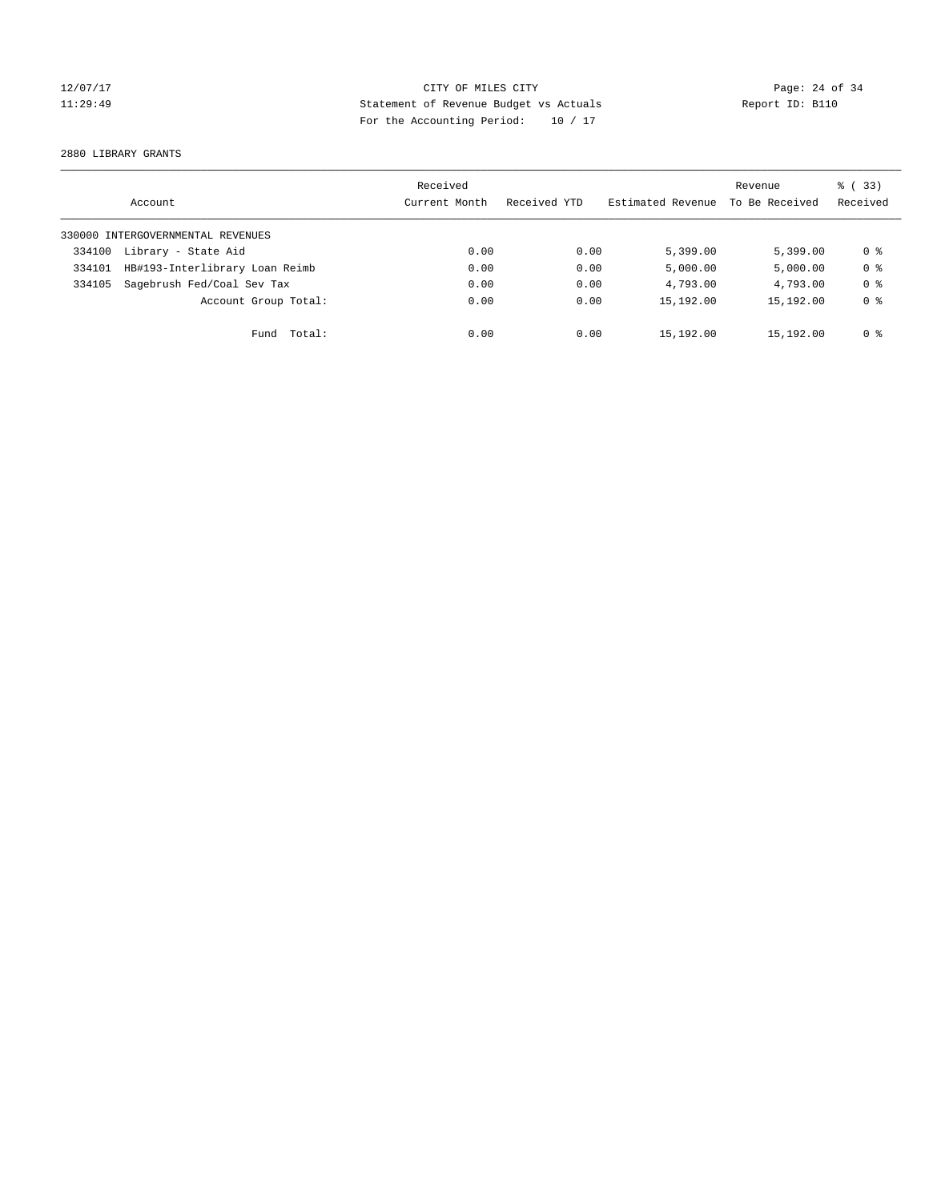### 12/07/17 Page: 24 of 34 11:29:49 Statement of Revenue Budget vs Actuals Report ID: B110 For the Accounting Period: 10 / 17

2880 LIBRARY GRANTS

|        | Account                           | Received<br>Current Month | Received YTD | Estimated Revenue | Revenue<br>To Be Received | % (33)<br>Received |
|--------|-----------------------------------|---------------------------|--------------|-------------------|---------------------------|--------------------|
|        | 330000 INTERGOVERNMENTAL REVENUES |                           |              |                   |                           |                    |
| 334100 | Library - State Aid               | 0.00                      | 0.00         | 5,399.00          | 5.399.00                  | 0 ક                |
| 334101 | HB#193-Interlibrary Loan Reimb    | 0.00                      | 0.00         | 5,000.00          | 5,000.00                  | 0 <sup>8</sup>     |
| 334105 | Sagebrush Fed/Coal Sev Tax        | 0.00                      | 0.00         | 4,793.00          | 4,793.00                  | 0 <sup>8</sup>     |
|        | Account Group Total:              | 0.00                      | 0.00         | 15,192.00         | 15,192.00                 | 0 <sup>8</sup>     |
|        | Fund Total:                       | 0.00                      | 0.00         | 15,192.00         | 15,192.00                 | 0 %                |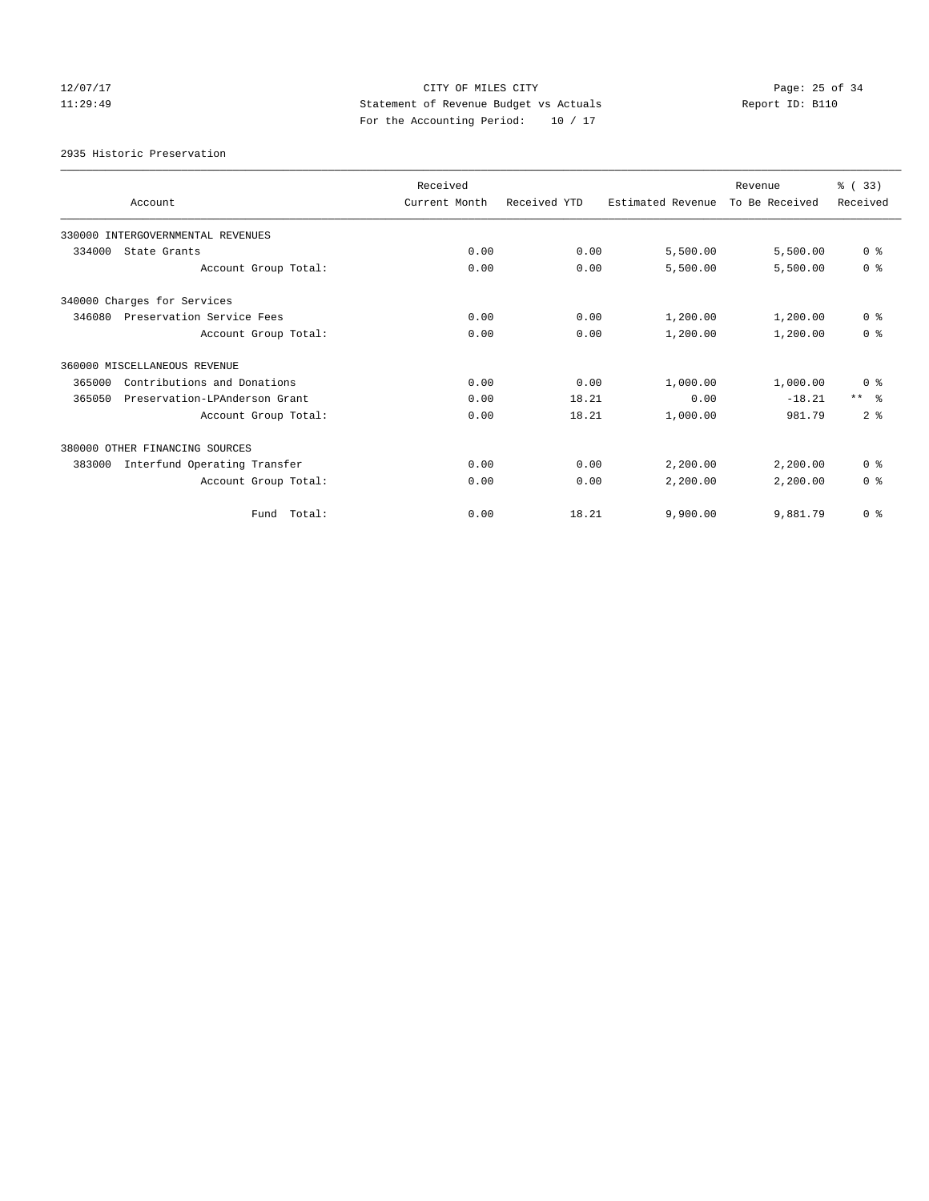### 12/07/17 Page: 25 of 34 11:29:49 Statement of Revenue Budget vs Actuals Report ID: B110 For the Accounting Period: 10 / 17

2935 Historic Preservation

|        | Account                           | Received<br>Current Month | Received YTD | Estimated Revenue | Revenue<br>To Be Received | % (33)<br>Received |
|--------|-----------------------------------|---------------------------|--------------|-------------------|---------------------------|--------------------|
|        |                                   |                           |              |                   |                           |                    |
|        | 330000 INTERGOVERNMENTAL REVENUES |                           |              |                   |                           |                    |
| 334000 | State Grants                      | 0.00                      | 0.00         | 5,500.00          | 5,500.00                  | 0 <sup>8</sup>     |
|        | Account Group Total:              | 0.00                      | 0.00         | 5,500.00          | 5,500.00                  | 0 <sup>8</sup>     |
|        | 340000 Charges for Services       |                           |              |                   |                           |                    |
| 346080 | Preservation Service Fees         | 0.00                      | 0.00         | 1,200.00          | 1,200.00                  | 0 <sup>8</sup>     |
|        | Account Group Total:              | 0.00                      | 0.00         | 1,200.00          | 1,200.00                  | 0 <sup>8</sup>     |
|        | 360000 MISCELLANEOUS REVENUE      |                           |              |                   |                           |                    |
| 365000 | Contributions and Donations       | 0.00                      | 0.00         | 1,000.00          | 1,000.00                  | 0 <sup>8</sup>     |
| 365050 | Preservation-LPAnderson Grant     | 0.00                      | 18.21        | 0.00              | $-18.21$                  | $***$ $\approx$    |
|        | Account Group Total:              | 0.00                      | 18.21        | 1,000.00          | 981.79                    | 2 <sup>8</sup>     |
|        | 380000 OTHER FINANCING SOURCES    |                           |              |                   |                           |                    |
| 383000 | Interfund Operating Transfer      | 0.00                      | 0.00         | 2,200.00          | 2,200.00                  | 0 <sup>8</sup>     |
|        | Account Group Total:              | 0.00                      | 0.00         | 2,200.00          | 2,200.00                  | 0 <sup>8</sup>     |
|        | Fund Total:                       | 0.00                      | 18.21        | 9,900.00          | 9,881.79                  | 0 <sup>8</sup>     |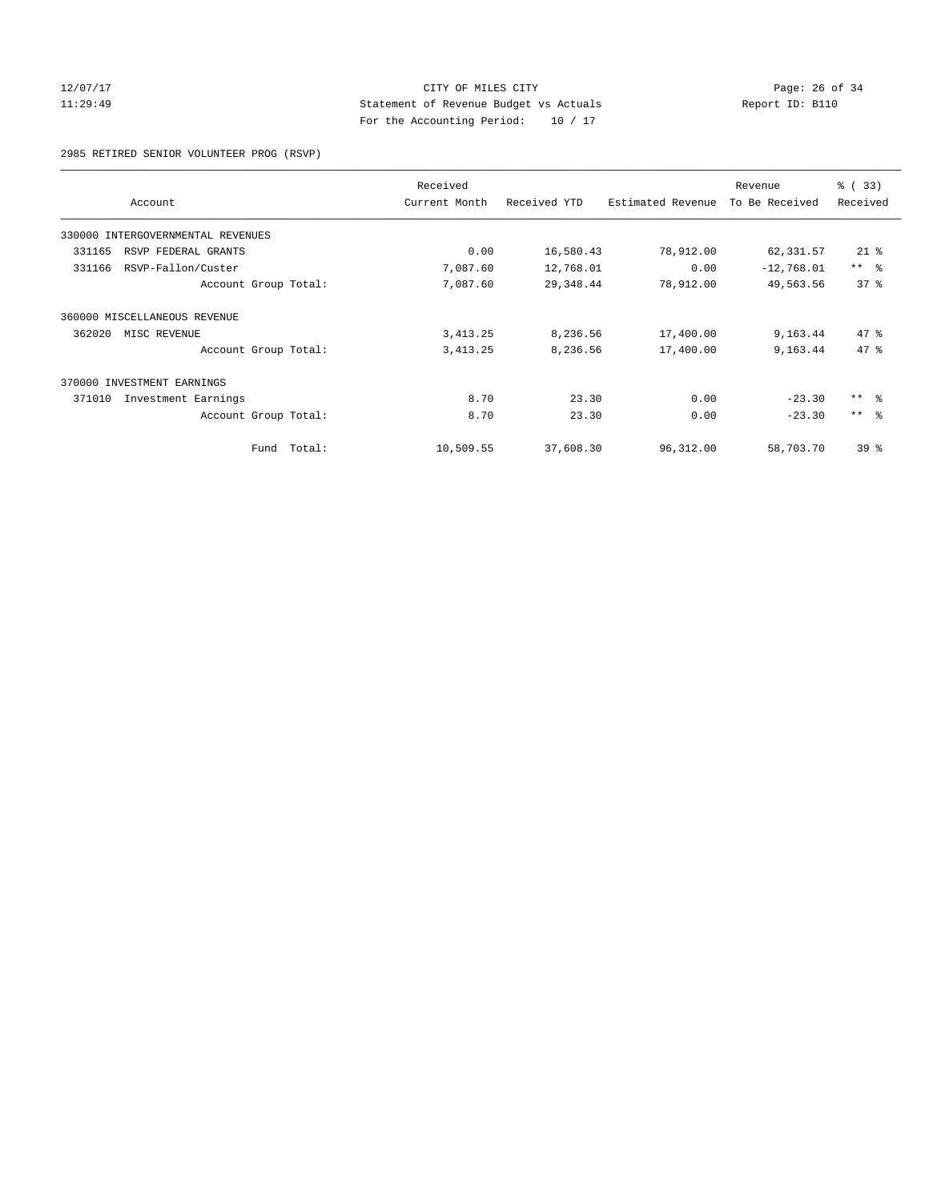### 12/07/17 Page: 26 of 34 11:29:49 Statement of Revenue Budget vs Actuals Report ID: B110 For the Accounting Period: 10 / 17

2985 RETIRED SENIOR VOLUNTEER PROG (RSVP)

| Account                           | Received<br>Current Month | Received YTD | Estimated Revenue | Revenue<br>To Be Received | % (33)<br>Received |
|-----------------------------------|---------------------------|--------------|-------------------|---------------------------|--------------------|
| 330000 INTERGOVERNMENTAL REVENUES |                           |              |                   |                           |                    |
| RSVP FEDERAL GRANTS<br>331165     | 0.00                      | 16,580.43    | 78,912.00         | 62,331.57                 | $21$ %             |
| RSVP-Fallon/Custer<br>331166      | 7,087.60                  | 12,768.01    | 0.00              | $-12,768.01$              | $***$ $ -$         |
| Account Group Total:              | 7,087.60                  | 29, 348.44   | 78,912.00         | 49,563.56                 | 37 <sup>8</sup>    |
| 360000 MISCELLANEOUS REVENUE      |                           |              |                   |                           |                    |
| 362020<br>MISC REVENUE            | 3, 413.25                 | 8,236.56     | 17,400.00         | 9,163.44                  | $47*$              |
| Account Group Total:              | 3, 413.25                 | 8,236.56     | 17,400.00         | 9,163.44                  | 47.8               |
| 370000 INVESTMENT EARNINGS        |                           |              |                   |                           |                    |
| 371010<br>Investment Earnings     | 8.70                      | 23.30        | 0.00              | $-23.30$                  | $***$ $ -$         |
| Account Group Total:              | 8.70                      | 23.30        | 0.00              | $-23.30$                  | $***$ $ -$         |
| Fund                              | Total:<br>10,509.55       | 37,608.30    | 96,312.00         | 58,703.70                 | $39*$              |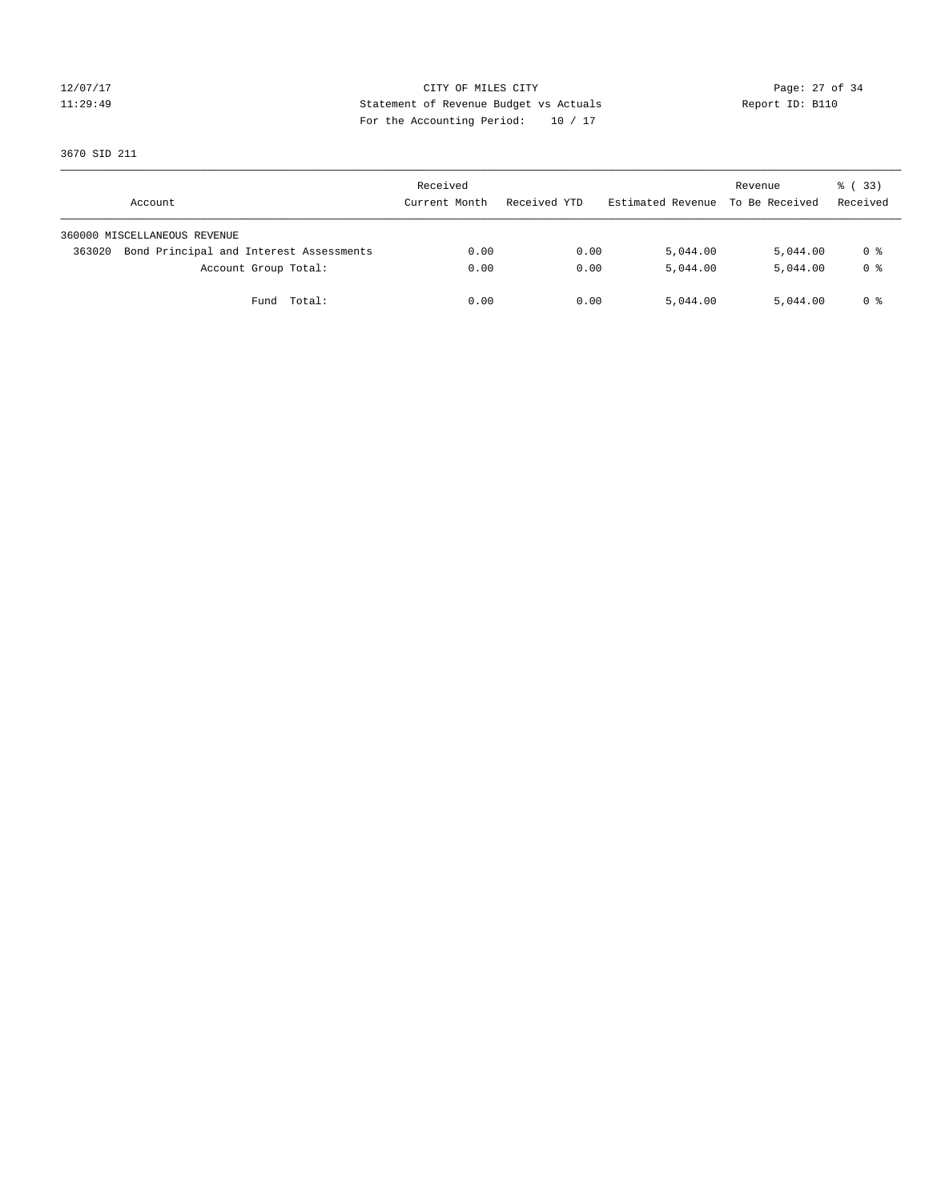### 12/07/17 Page: 27 of 34 11:29:49 Statement of Revenue Budget vs Actuals Report ID: B110 For the Accounting Period: 10 / 17

3670 SID 211

| Account                                           | Received<br>Current Month | Received YTD | Estimated Revenue | Revenue<br>To Be Received | % (33)<br>Received |
|---------------------------------------------------|---------------------------|--------------|-------------------|---------------------------|--------------------|
| 360000 MISCELLANEOUS REVENUE                      |                           |              |                   |                           |                    |
| Bond Principal and Interest Assessments<br>363020 | 0.00                      | 0.00         | 5,044.00          | 5,044.00                  | 0 %                |
| Account Group Total:                              | 0.00                      | 0.00         | 5,044.00          | 5,044.00                  | 0 <sup>8</sup>     |
| Total:<br>Fund                                    | 0.00                      | 0.00         | 5,044.00          | 5,044.00                  | 0 %                |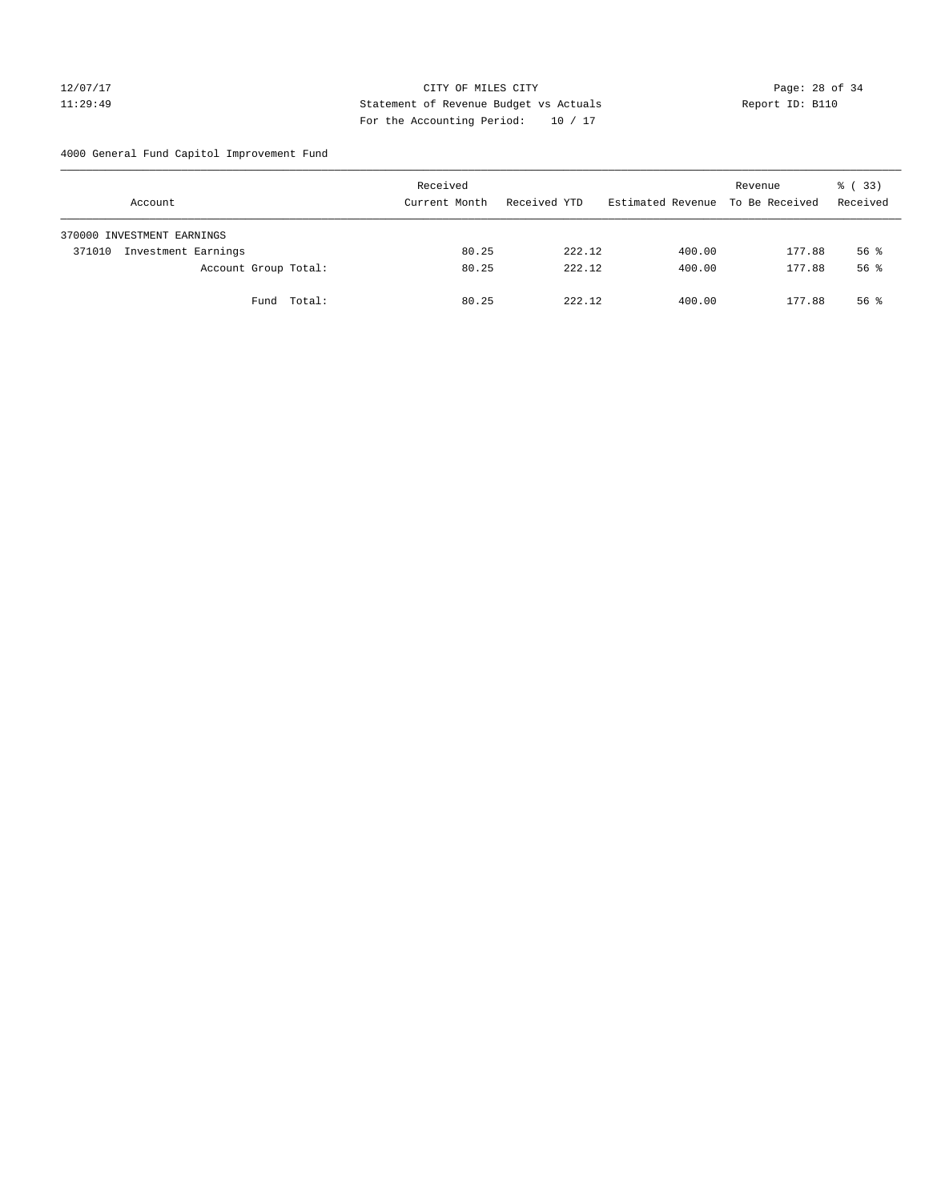### 12/07/17 Page: 28 of 34 11:29:49 Statement of Revenue Budget vs Actuals Report ID: B110 For the Accounting Period: 10 / 17

4000 General Fund Capitol Improvement Fund

|        | Account                    |             | Received<br>Current Month |       | Received YTD |        | Estimated Revenue |        | Revenue<br>To Be Received | 8 (33)<br>Received |
|--------|----------------------------|-------------|---------------------------|-------|--------------|--------|-------------------|--------|---------------------------|--------------------|
|        | 370000 INVESTMENT EARNINGS |             |                           |       |              |        |                   |        |                           |                    |
| 371010 | Investment Earnings        |             |                           | 80.25 |              | 222.12 |                   | 400.00 | 177.88                    | $56$ $\frac{6}{3}$ |
|        | Account Group Total:       |             |                           | 80.25 |              | 222.12 |                   | 400.00 | 177.88                    | 56 <sup>8</sup>    |
|        |                            | Fund Total: |                           | 80.25 |              | 222.12 |                   | 400.00 | 177.88                    | $56$ $\frac{6}{3}$ |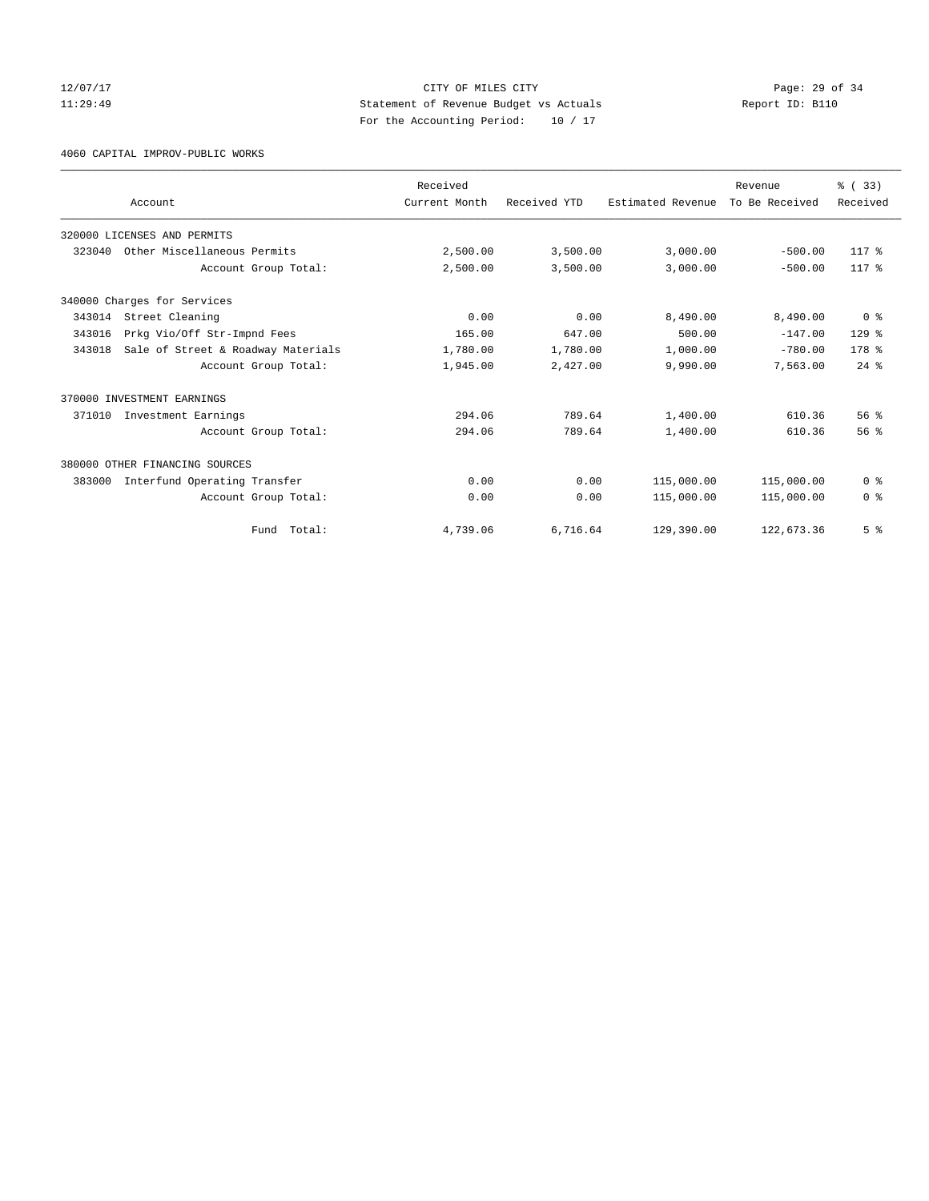### 12/07/17 Page: 29 of 34 11:29:49 Statement of Revenue Budget vs Actuals Report ID: B110 For the Accounting Period: 10 / 17

4060 CAPITAL IMPROV-PUBLIC WORKS

|        |                                    | Received      |              |                   | Revenue        | % (33)           |
|--------|------------------------------------|---------------|--------------|-------------------|----------------|------------------|
|        | Account                            | Current Month | Received YTD | Estimated Revenue | To Be Received | Received         |
|        | 320000 LICENSES AND PERMITS        |               |              |                   |                |                  |
|        | 323040 Other Miscellaneous Permits | 2,500.00      | 3,500.00     | 3,000.00          | $-500.00$      | 117 %            |
|        | Account Group Total:               | 2,500.00      | 3,500.00     | 3,000.00          | $-500.00$      | 117 %            |
|        | 340000 Charges for Services        |               |              |                   |                |                  |
| 343014 | Street Cleaning                    | 0.00          | 0.00         | 8,490.00          | 8,490.00       | 0 <sup>8</sup>   |
| 343016 | Prkg Vio/Off Str-Impnd Fees        | 165.00        | 647.00       | 500.00            | $-147.00$      | $129$ $%$        |
| 343018 | Sale of Street & Roadway Materials | 1,780.00      | 1,780.00     | 1,000.00          | $-780.00$      | 178 <sup>8</sup> |
|        | Account Group Total:               | 1,945.00      | 2,427.00     | 9,990.00          | 7,563.00       | $24$ $%$         |
|        | 370000 INVESTMENT EARNINGS         |               |              |                   |                |                  |
| 371010 | Investment Earnings                | 294.06        | 789.64       | 1,400.00          | 610.36         | 56 <sup>8</sup>  |
|        | Account Group Total:               | 294.06        | 789.64       | 1,400.00          | 610.36         | 56 <sup>8</sup>  |
|        | 380000 OTHER FINANCING SOURCES     |               |              |                   |                |                  |
| 383000 | Interfund Operating Transfer       | 0.00          | 0.00         | 115,000.00        | 115,000.00     | 0 <sup>8</sup>   |
|        | Account Group Total:               | 0.00          | 0.00         | 115,000.00        | 115,000.00     | 0 <sup>8</sup>   |
|        | Total:<br>Fund                     | 4,739.06      | 6,716.64     | 129,390.00        | 122,673.36     | 5 <sup>°</sup>   |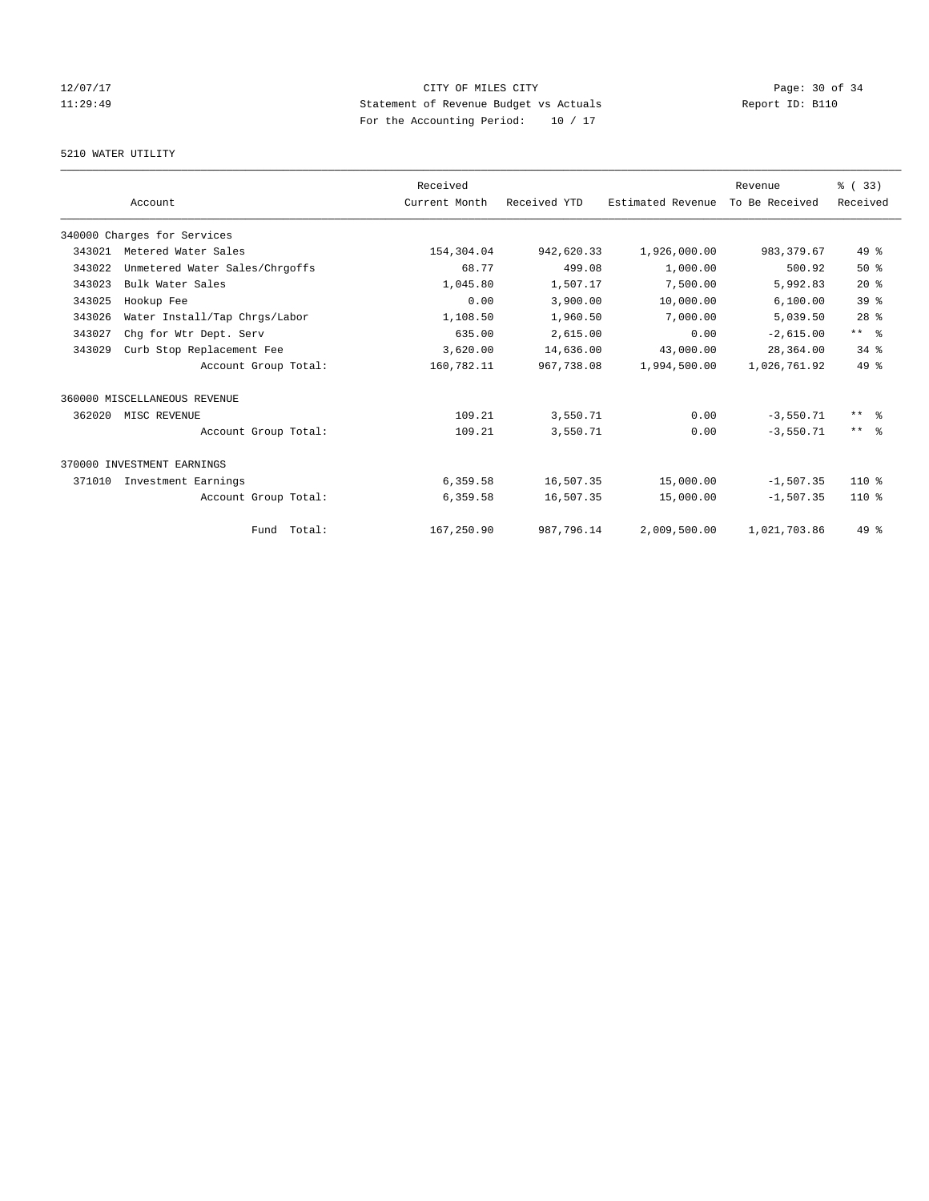# 12/07/17 Page: 30 of 34 11:29:49 Statement of Revenue Budget vs Actuals Report ID: B110 For the Accounting Period: 10 / 17

### 5210 WATER UTILITY

|        |                                | Received      |              |                   | Revenue        | % (33)              |
|--------|--------------------------------|---------------|--------------|-------------------|----------------|---------------------|
|        | Account                        | Current Month | Received YTD | Estimated Revenue | To Be Received | Received            |
|        | 340000 Charges for Services    |               |              |                   |                |                     |
| 343021 | Metered Water Sales            | 154,304.04    | 942,620.33   | 1,926,000.00      | 983, 379.67    | $49*$               |
| 343022 | Unmetered Water Sales/Chrgoffs | 68.77         | 499.08       | 1,000.00          | 500.92         | $50*$               |
| 343023 | Bulk Water Sales               | 1,045.80      | 1,507.17     | 7,500.00          | 5,992.83       | $20*$               |
| 343025 | Hookup Fee                     | 0.00          | 3,900.00     | 10,000.00         | 6, 100.00      | 39 <sup>8</sup>     |
| 343026 | Water Install/Tap Chrgs/Labor  | 1,108.50      | 1,960.50     | 7,000.00          | 5,039.50       | $28$ $%$            |
| 343027 | Chq for Wtr Dept. Serv         | 635.00        | 2,615.00     | 0.00              | $-2,615.00$    | $***$ $-$           |
| 343029 | Curb Stop Replacement Fee      | 3,620.00      | 14,636.00    | 43,000.00         | 28,364.00      | 34.8                |
|        | Account Group Total:           | 160,782.11    | 967,738.08   | 1,994,500.00      | 1,026,761.92   | $49*$               |
|        | 360000 MISCELLANEOUS REVENUE   |               |              |                   |                |                     |
| 362020 | MISC REVENUE                   | 109.21        | 3,550.71     | 0.00              | $-3,550.71$    | $***$ $\frac{6}{5}$ |
|        | Account Group Total:           | 109.21        | 3,550.71     | 0.00              | $-3.550.71$    | $***$ $ -$          |
|        | 370000 INVESTMENT EARNINGS     |               |              |                   |                |                     |
| 371010 | Investment Earnings            | 6,359.58      | 16,507.35    | 15,000.00         | $-1,507.35$    | $110*$              |
|        | Account Group Total:           | 6,359.58      | 16,507.35    | 15,000.00         | $-1,507.35$    | $110*$              |
|        | Fund Total:                    | 167,250.90    | 987,796.14   | 2,009,500.00      | 1,021,703.86   | 49 %                |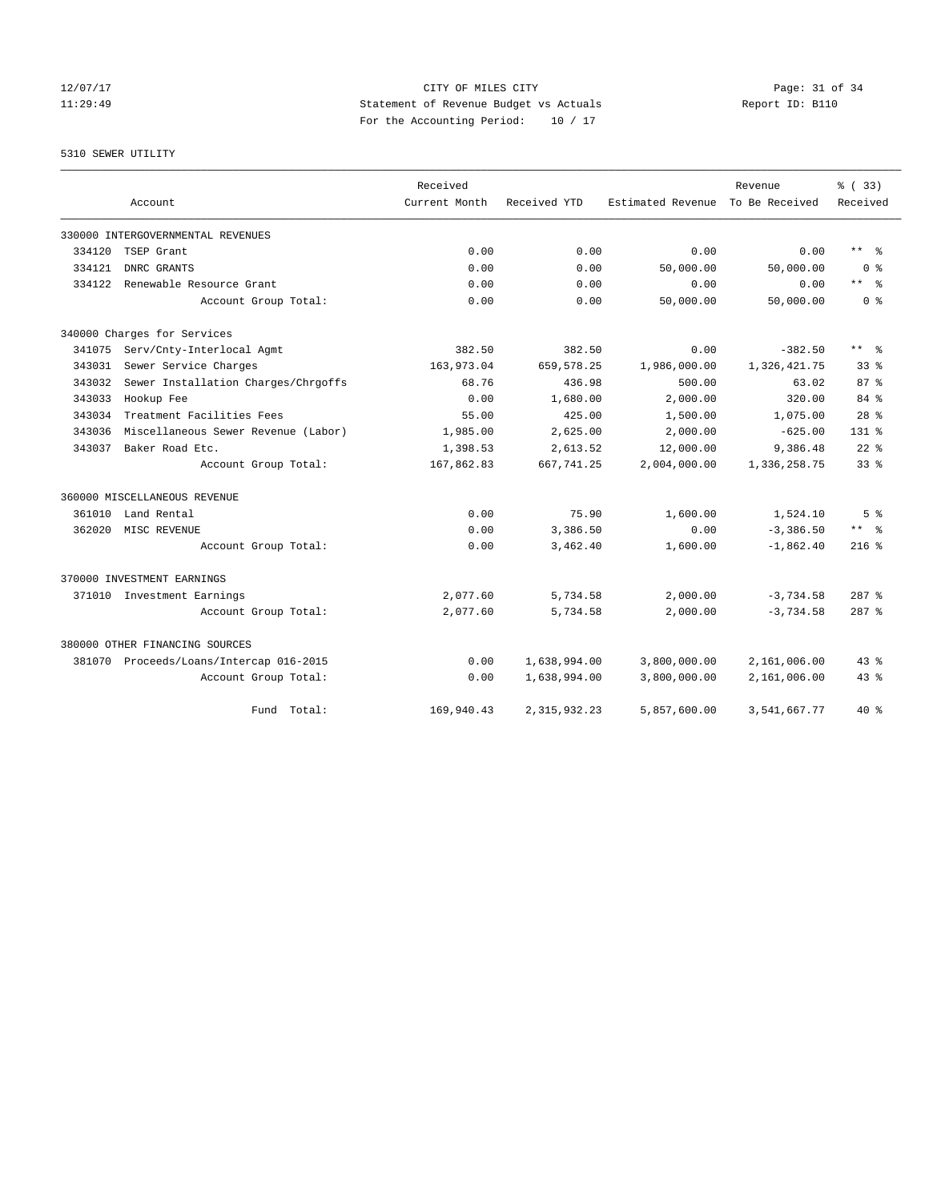### 12/07/17 Page: 31 of 34 11:29:49 Statement of Revenue Budget vs Actuals Report ID: B110 For the Accounting Period: 10 / 17

# 5310 SEWER UTILITY

|        |                                         | Received      |                |                   | Revenue        | % (33)          |
|--------|-----------------------------------------|---------------|----------------|-------------------|----------------|-----------------|
|        | Account                                 | Current Month | Received YTD   | Estimated Revenue | To Be Received | Received        |
|        | 330000 INTERGOVERNMENTAL REVENUES       |               |                |                   |                |                 |
| 334120 | TSEP Grant                              | 0.00          | 0.00           | 0.00              | 0.00           | $***$ $ -$      |
| 334121 | DNRC GRANTS                             | 0.00          | 0.00           | 50,000.00         | 50,000.00      | 0 <sup>8</sup>  |
| 334122 | Renewable Resource Grant                | 0.00          | 0.00           | 0.00              | 0.00           | $***$ $=$       |
|        | Account Group Total:                    | 0.00          | 0.00           | 50,000.00         | 50,000.00      | 0 <sup>8</sup>  |
|        | 340000 Charges for Services             |               |                |                   |                |                 |
| 341075 | Serv/Cnty-Interlocal Agmt               | 382.50        | 382.50         | 0.00              | $-382.50$      | $***$ $=$       |
| 343031 | Sewer Service Charges                   | 163,973.04    | 659, 578.25    | 1,986,000.00      | 1,326,421.75   | 33 <sup>8</sup> |
| 343032 | Sewer Installation Charges/Chrgoffs     | 68.76         | 436.98         | 500.00            | 63.02          | 87%             |
| 343033 | Hookup Fee                              | 0.00          | 1,680.00       | 2,000.00          | 320.00         | $84*$           |
| 343034 | Treatment Facilities Fees               | 55.00         | 425.00         | 1,500.00          | 1,075.00       | 28 <sup>8</sup> |
| 343036 | Miscellaneous Sewer Revenue (Labor)     | 1,985.00      | 2,625.00       | 2,000.00          | $-625.00$      | $131$ %         |
| 343037 | Baker Road Etc.                         | 1,398.53      | 2,613.52       | 12,000.00         | 9,386.48       | $22$ $%$        |
|        | Account Group Total:                    | 167,862.83    | 667,741.25     | 2,004,000.00      | 1,336,258.75   | 33 <sup>8</sup> |
|        | 360000 MISCELLANEOUS REVENUE            |               |                |                   |                |                 |
| 361010 | Land Rental                             | 0.00          | 75.90          | 1,600.00          | 1,524.10       | 5 <sup>8</sup>  |
| 362020 | MISC REVENUE                            | 0.00          | 3,386.50       | 0.00              | $-3,386.50$    | ** 왕            |
|        | Account Group Total:                    | 0.00          | 3,462.40       | 1,600.00          | $-1,862.40$    | $216$ %         |
|        | 370000 INVESTMENT EARNINGS              |               |                |                   |                |                 |
|        | 371010 Investment Earnings              | 2,077.60      | 5,734.58       | 2,000.00          | $-3,734.58$    | $287$ %         |
|        | Account Group Total:                    | 2,077.60      | 5,734.58       | 2,000.00          | $-3,734.58$    | $287$ $%$       |
|        | 380000 OTHER FINANCING SOURCES          |               |                |                   |                |                 |
|        | 381070 Proceeds/Loans/Intercap 016-2015 | 0.00          | 1,638,994.00   | 3,800,000.00      | 2,161,006.00   | $43$ $%$        |
|        | Account Group Total:                    | 0.00          | 1,638,994.00   | 3,800,000.00      | 2,161,006.00   | $43$ %          |
|        | Total:<br>Fund                          | 169,940.43    | 2, 315, 932.23 | 5,857,600.00      | 3,541,667.77   | $40*$           |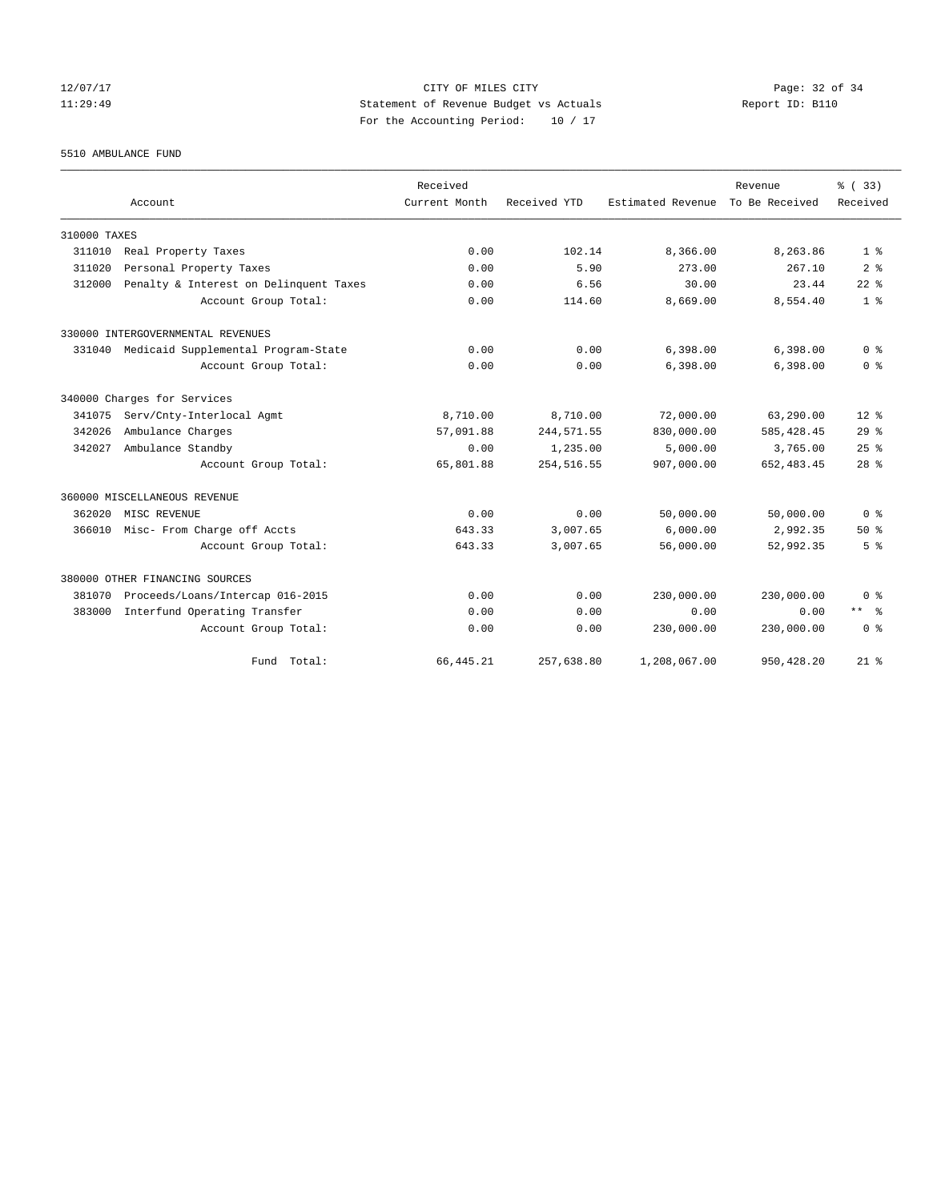### 12/07/17 Page: 32 of 34 11:29:49 Statement of Revenue Budget vs Actuals Report ID: B110 For the Accounting Period: 10 / 17

5510 AMBULANCE FUND

|              |                                        | Received      |              |                                  | Revenue     | % (33)          |
|--------------|----------------------------------------|---------------|--------------|----------------------------------|-------------|-----------------|
|              | Account                                | Current Month | Received YTD | Estimated Revenue To Be Received |             | Received        |
| 310000 TAXES |                                        |               |              |                                  |             |                 |
| 311010       | Real Property Taxes                    | 0.00          | 102.14       | 8,366.00                         | 8,263.86    | $1 - 26$        |
| 311020       | Personal Property Taxes                | 0.00          | 5.90         | 273.00                           | 267.10      | 2 <sup>8</sup>  |
| 312000       | Penalty & Interest on Delinquent Taxes | 0.00          | 6.56         | 30.00                            | 23.44       | $22$ $%$        |
|              | Account Group Total:                   | 0.00          | 114.60       | 8,669.00                         | 8,554.40    | 1 <sup>8</sup>  |
|              | 330000 INTERGOVERNMENTAL REVENUES      |               |              |                                  |             |                 |
| 331040       | Medicaid Supplemental Program-State    | 0.00          | 0.00         | 6,398.00                         | 6,398.00    | 0 <sup>8</sup>  |
|              | Account Group Total:                   | 0.00          | 0.00         | 6,398.00                         | 6,398.00    | 0 <sup>8</sup>  |
|              | 340000 Charges for Services            |               |              |                                  |             |                 |
| 341075       | Serv/Cnty-Interlocal Agmt              | 8,710.00      | 8,710.00     | 72,000.00                        | 63,290.00   | $12*$           |
| 342026       | Ambulance Charges                      | 57,091.88     | 244, 571.55  | 830,000.00                       | 585, 428.45 | 29 <sup>°</sup> |
| 342027       | Ambulance Standby                      | 0.00          | 1,235.00     | 5,000.00                         | 3,765.00    | 25%             |
|              | Account Group Total:                   | 65,801.88     | 254, 516.55  | 907,000.00                       | 652, 483.45 | 28 <sup>8</sup> |
|              | 360000 MISCELLANEOUS REVENUE           |               |              |                                  |             |                 |
| 362020       | MISC REVENUE                           | 0.00          | 0.00         | 50,000.00                        | 50,000.00   | 0 <sup>8</sup>  |
| 366010       | Misc- From Charge off Accts            | 643.33        | 3,007.65     | 6.000.00                         | 2,992.35    | $50*$           |
|              | Account Group Total:                   | 643.33        | 3,007.65     | 56,000.00                        | 52,992.35   | 5 <sup>8</sup>  |
|              | 380000 OTHER FINANCING SOURCES         |               |              |                                  |             |                 |
| 381070       | Proceeds/Loans/Intercap 016-2015       | 0.00          | 0.00         | 230,000.00                       | 230,000.00  | 0 <sup>8</sup>  |
| 383000       | Interfund Operating Transfer           | 0.00          | 0.00         | 0.00                             | 0.00        | $***$ $=$       |
|              | Account Group Total:                   | 0.00          | 0.00         | 230,000.00                       | 230,000.00  | 0 <sup>8</sup>  |
|              | Fund Total:                            | 66, 445.21    | 257,638.80   | 1,208,067.00                     | 950, 428.20 | $21*$           |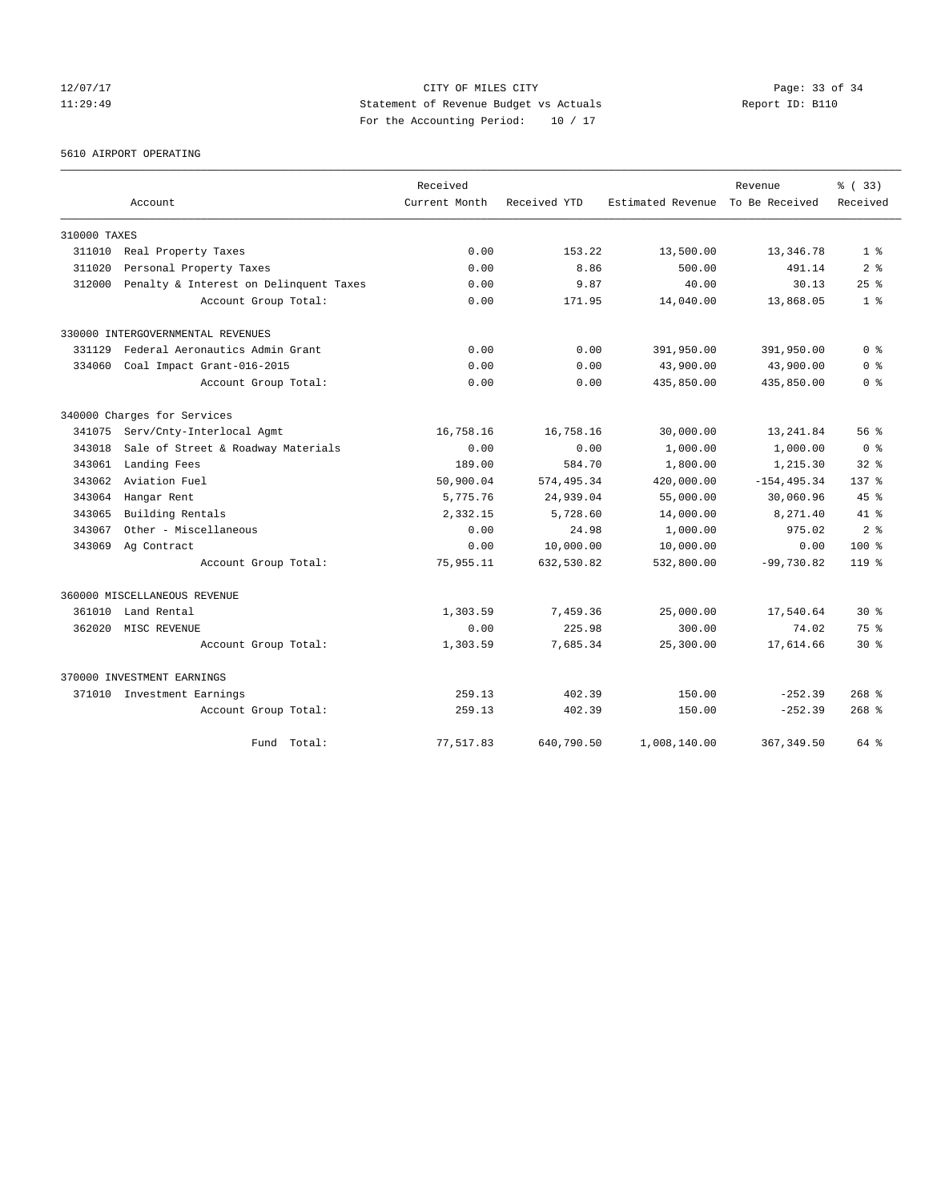### 12/07/17 Page: 33 of 34 11:29:49 Statement of Revenue Budget vs Actuals Report ID: B110 For the Accounting Period: 10 / 17

5610 AIRPORT OPERATING

|              | Account                                | Received<br>Current Month | Received YTD | Estimated Revenue | Revenue<br>To Be Received | % (33)<br>Received |
|--------------|----------------------------------------|---------------------------|--------------|-------------------|---------------------------|--------------------|
|              |                                        |                           |              |                   |                           |                    |
| 310000 TAXES |                                        |                           |              |                   |                           |                    |
| 311010       | Real Property Taxes                    | 0.00                      | 153.22       | 13,500.00         | 13,346.78                 | 1 <sup>8</sup>     |
| 311020       | Personal Property Taxes                | 0.00                      | 8.86         | 500.00            | 491.14                    | 2 <sub>8</sub>     |
| 312000       | Penalty & Interest on Delinquent Taxes | 0.00                      | 9.87         | 40.00             | 30.13                     | $25$ $%$           |
|              | Account Group Total:                   | 0.00                      | 171.95       | 14,040.00         | 13,868.05                 | 1 <sup>8</sup>     |
|              | 330000 INTERGOVERNMENTAL REVENUES      |                           |              |                   |                           |                    |
| 331129       | Federal Aeronautics Admin Grant        | 0.00                      | 0.00         | 391,950.00        | 391,950.00                | 0 %                |
| 334060       | Coal Impact Grant-016-2015             | 0.00                      | 0.00         | 43,900.00         | 43,900.00                 | 0 <sup>8</sup>     |
|              | Account Group Total:                   | 0.00                      | 0.00         | 435,850.00        | 435,850.00                | 0 <sup>8</sup>     |
|              | 340000 Charges for Services            |                           |              |                   |                           |                    |
| 341075       | Serv/Cnty-Interlocal Agmt              | 16,758.16                 | 16,758.16    | 30,000.00         | 13, 241.84                | 56%                |
| 343018       | Sale of Street & Roadway Materials     | 0.00                      | 0.00         | 1,000.00          | 1,000.00                  | 0 <sup>8</sup>     |
| 343061       | Landing Fees                           | 189.00                    | 584.70       | 1,800.00          | 1,215.30                  | $32*$              |
| 343062       | Aviation Fuel                          | 50,900.04                 | 574, 495.34  | 420,000.00        | $-154, 495.34$            | $137$ %            |
| 343064       | Hangar Rent                            | 5,775.76                  | 24,939.04    | 55,000.00         | 30,060.96                 | 45%                |
| 343065       | Building Rentals                       | 2,332.15                  | 5,728.60     | 14,000.00         | 8,271.40                  | $41*$              |
| 343067       | Other - Miscellaneous                  | 0.00                      | 24.98        | 1,000.00          | 975.02                    | 2 <sup>8</sup>     |
| 343069       | Ag Contract                            | 0.00                      | 10,000.00    | 10,000.00         | 0.00                      | $100*$             |
|              | Account Group Total:                   | 75,955.11                 | 632,530.82   | 532,800.00        | $-99,730.82$              | $119*$             |
|              | 360000 MISCELLANEOUS REVENUE           |                           |              |                   |                           |                    |
| 361010       | Land Rental                            | 1,303.59                  | 7,459.36     | 25,000.00         | 17,540.64                 | $30*$              |
| 362020       | MISC REVENUE                           | 0.00                      | 225.98       | 300.00            | 74.02                     | 75 %               |
|              | Account Group Total:                   | 1,303.59                  | 7,685.34     | 25,300.00         | 17,614.66                 | $30*$              |
|              | 370000 INVESTMENT EARNINGS             |                           |              |                   |                           |                    |
|              | 371010 Investment Earnings             | 259.13                    | 402.39       | 150.00            | $-252.39$                 | $268$ $%$          |
|              | Account Group Total:                   | 259.13                    | 402.39       | 150.00            | $-252.39$                 | $268$ %            |
|              | Total:<br>Fund                         | 77,517.83                 | 640,790.50   | 1,008,140.00      | 367, 349.50               | 64 %               |